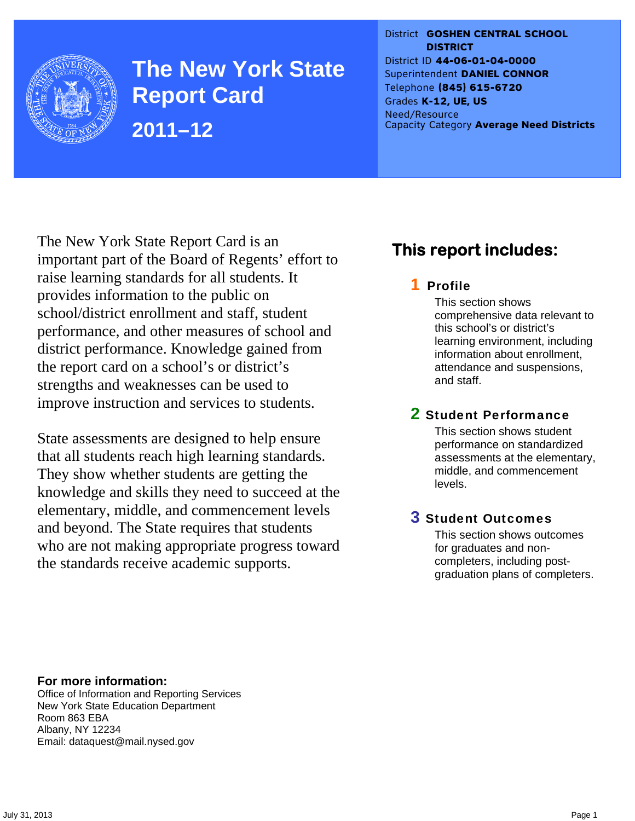

**The New York State Report Card 2011–12** 

District **GOSHEN CENTRAL SCHOOL DISTRICT** District ID **44-06-01-04-0000** Superintendent **DANIEL CONNOR** Telephone **(845) 615-6720** Grades **K-12, UE, US** Need/Resource Capacity Category **Average Need Districts**

The New York State Report Card is an important part of the Board of Regents' effort to raise learning standards for all students. It provides information to the public on school/district enrollment and staff, student performance, and other measures of school and district performance. Knowledge gained from the report card on a school's or district's strengths and weaknesses can be used to improve instruction and services to students.

State assessments are designed to help ensure that all students reach high learning standards. They show whether students are getting the knowledge and skills they need to succeed at the elementary, middle, and commencement levels and beyond. The State requires that students who are not making appropriate progress toward the standards receive academic supports.

## **This report includes:**

## 1 Profile

This section shows comprehensive data relevant to this school's or district's learning environment, including information about enrollment, attendance and suspensions, and staff.

### 2 Student Performance

This section shows student performance on standardized assessments at the elementary, middle, and commencement levels.

### 3 Student Outcomes

This section shows outcomes for graduates and noncompleters, including postgraduation plans of completers.

**For more information:**  Office of Information and Reporting Services New York State Education Department Room 863 EBA Albany, NY 12234

Email: dataquest@mail.nysed.gov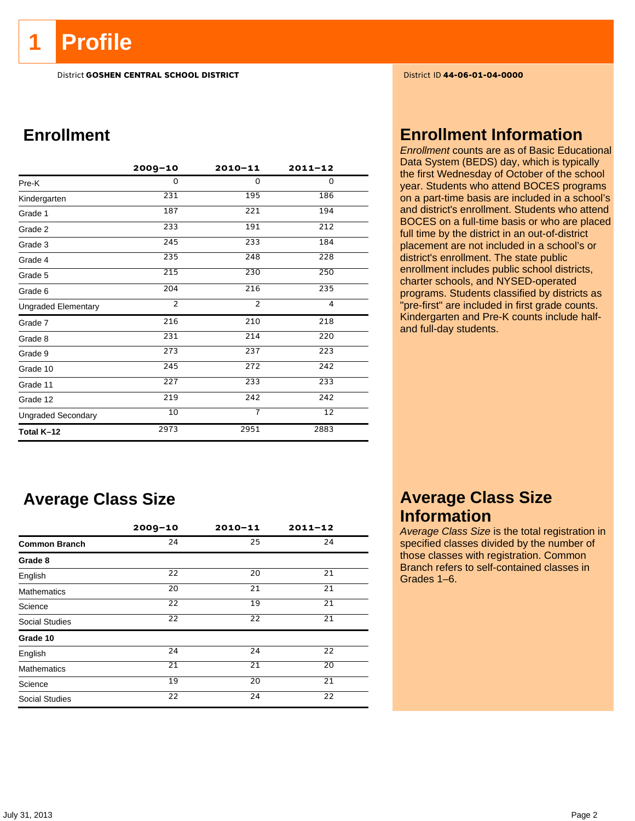**1 Profile** 

District **GOSHEN CENTRAL SCHOOL DISTRICT** District ID **44-06-01-04-0000**

## **Enrollment**

|                            | $2009 - 10$    | $2010 - 11$    | $2011 - 12$     |  |
|----------------------------|----------------|----------------|-----------------|--|
| Pre-K                      | 0              | 0              | 0               |  |
| Kindergarten               | 231            | 195            | 186             |  |
| Grade 1                    | 187            | 221            | 194             |  |
| Grade 2                    | 233            | 191            | 212             |  |
| Grade 3                    | 245            | 233            | 184             |  |
| Grade 4                    | 235            | 248            | 228             |  |
| Grade 5                    | 215            | 230            | 250             |  |
| Grade 6                    | 204            | 216            | 235             |  |
| <b>Ungraded Elementary</b> | $\overline{2}$ | $\overline{2}$ | 4               |  |
| Grade 7                    | 216            | 210            | 218             |  |
| Grade 8                    | 231            | 214            | 220             |  |
| Grade 9                    | 273            | 237            | 223             |  |
| Grade 10                   | 245            | 272            | 242             |  |
| Grade 11                   | 227            | 233            | 233             |  |
| Grade 12                   | 219            | 242            | 242             |  |
| <b>Ungraded Secondary</b>  | 10             | $\overline{7}$ | $\overline{12}$ |  |
| Total K-12                 | 2973           | 2951           | 2883            |  |

## **Average Class Size**

|                       | $2009 - 10$     | $2010 - 11$ | $2011 - 12$ |
|-----------------------|-----------------|-------------|-------------|
| <b>Common Branch</b>  | 24              | 25          | 24          |
| Grade 8               |                 |             |             |
| English               | 22              | 20          | 21          |
| <b>Mathematics</b>    | 20              | 21          | 21          |
| Science               | 22              | 19          | 21          |
| <b>Social Studies</b> | $\overline{22}$ | 22          | 21          |
| Grade 10              |                 |             |             |
| English               | 24              | 24          | 22          |
| <b>Mathematics</b>    | 21              | 21          | 20          |
| Science               | 19              | 20          | 21          |
| <b>Social Studies</b> | 22              | 24          | 22          |

## **Enrollment Information**

*Enrollment* counts are as of Basic Educational Data System (BEDS) day, which is typically the first Wednesday of October of the school year. Students who attend BOCES programs on a part-time basis are included in a school's and district's enrollment. Students who attend BOCES on a full-time basis or who are placed full time by the district in an out-of-district placement are not included in a school's or district's enrollment. The state public enrollment includes public school districts, charter schools, and NYSED-operated programs. Students classified by districts as "pre-first" are included in first grade counts. Kindergarten and Pre-K counts include halfand full-day students.

## **Average Class Size Information**

*Average Class Size* is the total registration in specified classes divided by the number of those classes with registration. Common Branch refers to self-contained classes in Grades 1–6.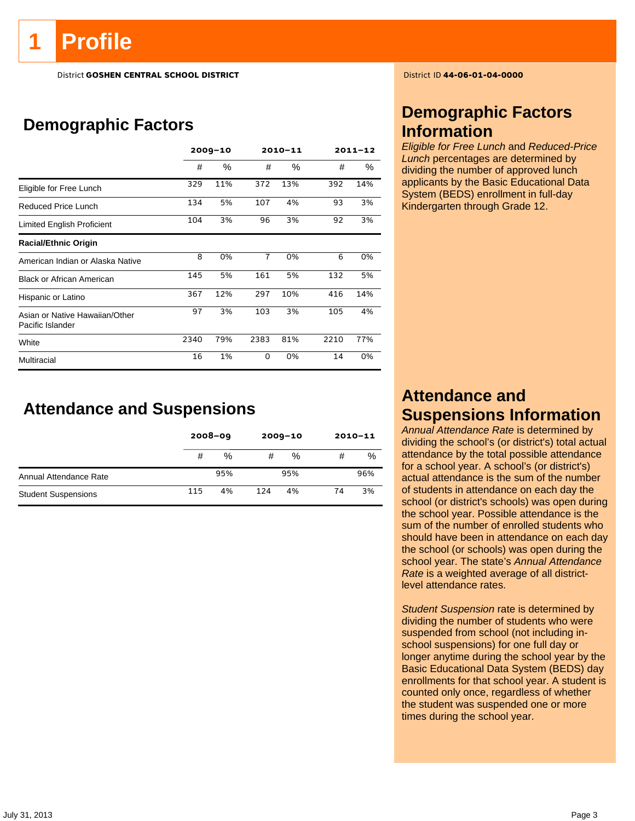# **Profile**

District **GOSHEN CENTRAL SCHOOL DISTRICT** District ID **44-06-01-04-0000**

## **Demographic Factors**

|                                                    |      | $2009 - 10$ |                | 2010-11 | $2011 - 12$ |     |
|----------------------------------------------------|------|-------------|----------------|---------|-------------|-----|
|                                                    | #    | ℅           | #              | %       | #           | %   |
| Eligible for Free Lunch                            | 329  | 11%         | 372            | 13%     | 392         | 14% |
| Reduced Price Lunch                                | 134  | 5%          | 107            | 4%      | 93          | 3%  |
| Limited English Proficient                         | 104  | 3%          | 96             | 3%      | 92          | 3%  |
| <b>Racial/Ethnic Origin</b>                        |      |             |                |         |             |     |
| American Indian or Alaska Native                   | 8    | 0%          | $\overline{7}$ | 0%      | 6           | 0%  |
| <b>Black or African American</b>                   | 145  | 5%          | 161            | 5%      | 132         | 5%  |
| Hispanic or Latino                                 | 367  | 12%         | 297            | 10%     | 416         | 14% |
| Asian or Native Hawaiian/Other<br>Pacific Islander | 97   | 3%          | 103            | 3%      | 105         | 4%  |
| White                                              | 2340 | 79%         | 2383           | 81%     | 2210        | 77% |
| Multiracial                                        | 16   | 1%          | 0              | 0%      | 14          | 0%  |

**Attendance and Suspensions** 

|                            |     | $2008 - 09$ |     | $2009 - 10$ |    | $2010 - 11$ |
|----------------------------|-----|-------------|-----|-------------|----|-------------|
|                            | #   | %           | #   | %           | #  | %           |
| Annual Attendance Rate     |     | 95%         |     | 95%         |    | 96%         |
| <b>Student Suspensions</b> | 115 | 4%          | 124 | 4%          | 74 | 3%          |

## **Demographic Factors Information**

*Eligible for Free Lunch* and *Reduced-Price Lunch* percentages are determined by dividing the number of approved lunch applicants by the Basic Educational Data System (BEDS) enrollment in full-day Kindergarten through Grade 12.

## **Attendance and Suspensions Information**

*Annual Attendance Rate* is determined by dividing the school's (or district's) total actual attendance by the total possible attendance for a school year. A school's (or district's) actual attendance is the sum of the number of students in attendance on each day the school (or district's schools) was open during the school year. Possible attendance is the sum of the number of enrolled students who should have been in attendance on each day the school (or schools) was open during the school year. The state's *Annual Attendance Rate* is a weighted average of all districtlevel attendance rates.

*Student Suspension* rate is determined by dividing the number of students who were suspended from school (not including inschool suspensions) for one full day or longer anytime during the school year by the Basic Educational Data System (BEDS) day enrollments for that school year. A student is counted only once, regardless of whether the student was suspended one or more times during the school year.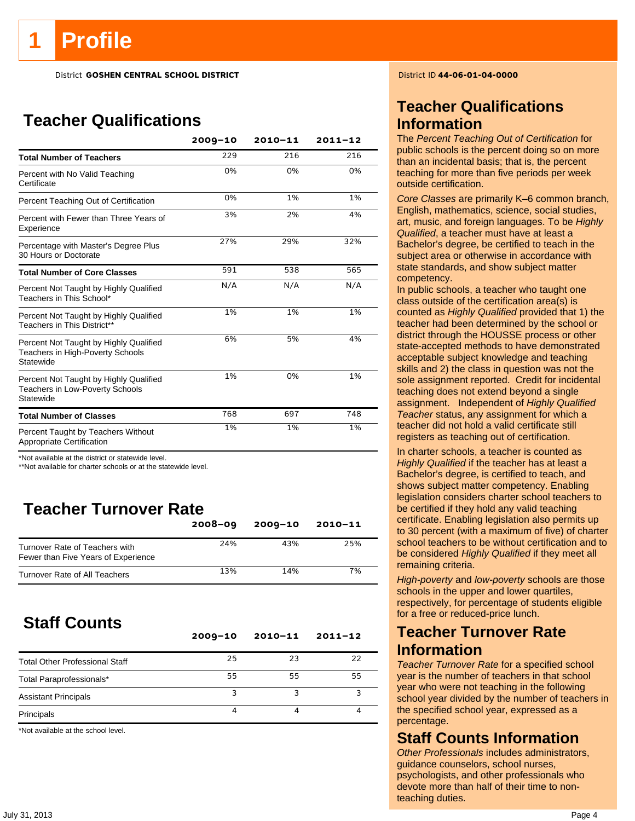District **GOSHEN CENTRAL SCHOOL DISTRICT** District ID **44-06-01-04-0000**

## **Teacher Qualifications**

|                                                                                               | $2009 - 10$ | $2010 - 11$ | $2011 - 12$ |
|-----------------------------------------------------------------------------------------------|-------------|-------------|-------------|
| <b>Total Number of Teachers</b>                                                               | 229         | 216         | 216         |
| Percent with No Valid Teaching<br>Certificate                                                 | 0%          | 0%          | 0%          |
| Percent Teaching Out of Certification                                                         | 0%          | 1%          | 1%          |
| Percent with Fewer than Three Years of<br>Experience                                          | 3%          | 2%          | 4%          |
| Percentage with Master's Degree Plus<br>30 Hours or Doctorate                                 | 27%         | 29%         | 32%         |
| <b>Total Number of Core Classes</b>                                                           | 591         | 538         | 565         |
| Percent Not Taught by Highly Qualified<br>Teachers in This School*                            | N/A         | N/A         | N/A         |
| Percent Not Taught by Highly Qualified<br>Teachers in This District**                         | 1%          | 1%          | 1%          |
| Percent Not Taught by Highly Qualified<br>Teachers in High-Poverty Schools<br>Statewide       | 6%          | 5%          | 4%          |
| Percent Not Taught by Highly Qualified<br><b>Teachers in Low-Poverty Schools</b><br>Statewide | 1%          | 0%          | 1%          |
| <b>Total Number of Classes</b>                                                                | 768         | 697         | 748         |
| Percent Taught by Teachers Without<br>Appropriate Certification                               | 1%          | 1%          | 1%          |

\*Not available at the district or statewide level.

\*\*Not available for charter schools or at the statewide level.

## **Teacher Turnover Rate**

|                                                                       | $2008 - 09$ | $2009 - 10$ | $2010 - 11$ |
|-----------------------------------------------------------------------|-------------|-------------|-------------|
| Turnover Rate of Teachers with<br>Fewer than Five Years of Experience | 24%         | 43%         | 25%         |
| Turnover Rate of All Teachers                                         | 13%         | 14%         | 7%          |

## **Staff Counts**

|                                       | $2009 - 10$ | $2010 - 11$ | $2011 - 12$ |
|---------------------------------------|-------------|-------------|-------------|
| <b>Total Other Professional Staff</b> | 25          | 23          | 22          |
| Total Paraprofessionals*              | 55          | 55          | 55          |
| <b>Assistant Principals</b>           | ว           |             |             |
| Principals                            |             |             |             |

\*Not available at the school level.

## **Teacher Qualifications Information**

The *Percent Teaching Out of Certification* for public schools is the percent doing so on more than an incidental basis; that is, the percent teaching for more than five periods per week outside certification.

*Core Classes* are primarily K–6 common branch, English, mathematics, science, social studies, art, music, and foreign languages. To be *Highly Qualified*, a teacher must have at least a Bachelor's degree, be certified to teach in the subject area or otherwise in accordance with state standards, and show subject matter competency.

In public schools, a teacher who taught one class outside of the certification area(s) is counted as *Highly Qualified* provided that 1) the teacher had been determined by the school or district through the HOUSSE process or other state-accepted methods to have demonstrated acceptable subject knowledge and teaching skills and 2) the class in question was not the sole assignment reported. Credit for incidental teaching does not extend beyond a single assignment. Independent of *Highly Qualified Teacher* status, any assignment for which a teacher did not hold a valid certificate still registers as teaching out of certification.

In charter schools, a teacher is counted as *Highly Qualified* if the teacher has at least a Bachelor's degree, is certified to teach, and shows subject matter competency. Enabling legislation considers charter school teachers to be certified if they hold any valid teaching certificate. Enabling legislation also permits up to 30 percent (with a maximum of five) of charter school teachers to be without certification and to be considered *Highly Qualified* if they meet all remaining criteria.

*High-poverty* and *low-poverty* schools are those schools in the upper and lower quartiles, respectively, for percentage of students eligible for a free or reduced-price lunch.

## **Teacher Turnover Rate Information**

*Teacher Turnover Rate* for a specified school year is the number of teachers in that school year who were not teaching in the following school year divided by the number of teachers in the specified school year, expressed as a percentage.

## **Staff Counts Information**

*Other Professionals* includes administrators, guidance counselors, school nurses, psychologists, and other professionals who devote more than half of their time to nonteaching duties.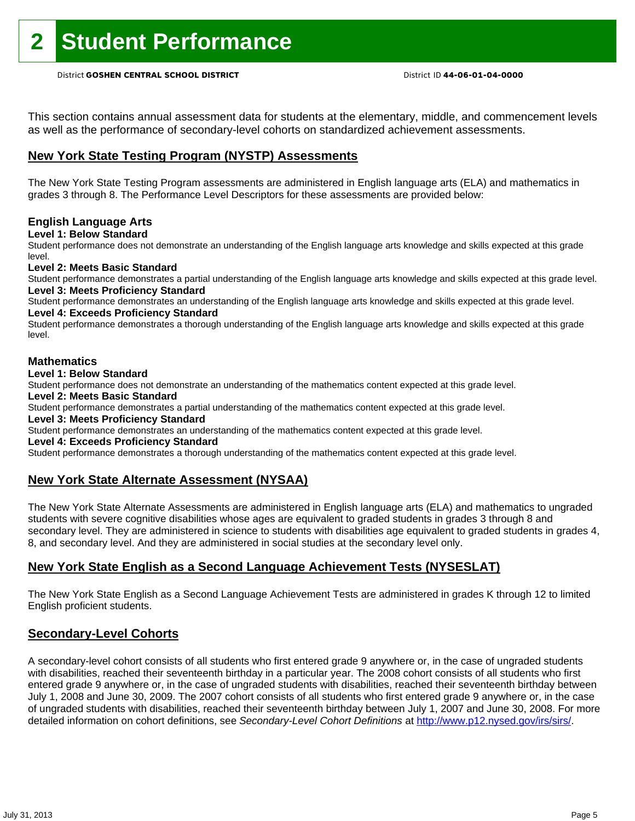This section contains annual assessment data for students at the elementary, middle, and commencement levels as well as the performance of secondary-level cohorts on standardized achievement assessments.

### **New York State Testing Program (NYSTP) Assessments**

The New York State Testing Program assessments are administered in English language arts (ELA) and mathematics in grades 3 through 8. The Performance Level Descriptors for these assessments are provided below:

### **English Language Arts**

**Level 1: Below Standard** 

Student performance does not demonstrate an understanding of the English language arts knowledge and skills expected at this grade level.

### **Level 2: Meets Basic Standard**

Student performance demonstrates a partial understanding of the English language arts knowledge and skills expected at this grade level. **Level 3: Meets Proficiency Standard** 

Student performance demonstrates an understanding of the English language arts knowledge and skills expected at this grade level. **Level 4: Exceeds Proficiency Standard** 

Student performance demonstrates a thorough understanding of the English language arts knowledge and skills expected at this grade level.

### **Mathematics**

**Level 1: Below Standard** 

Student performance does not demonstrate an understanding of the mathematics content expected at this grade level.

**Level 2: Meets Basic Standard** 

Student performance demonstrates a partial understanding of the mathematics content expected at this grade level.

### **Level 3: Meets Proficiency Standard**

Student performance demonstrates an understanding of the mathematics content expected at this grade level.

### **Level 4: Exceeds Proficiency Standard**

Student performance demonstrates a thorough understanding of the mathematics content expected at this grade level.

### **New York State Alternate Assessment (NYSAA)**

The New York State Alternate Assessments are administered in English language arts (ELA) and mathematics to ungraded students with severe cognitive disabilities whose ages are equivalent to graded students in grades 3 through 8 and secondary level. They are administered in science to students with disabilities age equivalent to graded students in grades 4, 8, and secondary level. And they are administered in social studies at the secondary level only.

### **New York State English as a Second Language Achievement Tests (NYSESLAT)**

The New York State English as a Second Language Achievement Tests are administered in grades K through 12 to limited English proficient students.

### **Secondary-Level Cohorts**

A secondary-level cohort consists of all students who first entered grade 9 anywhere or, in the case of ungraded students with disabilities, reached their seventeenth birthday in a particular year. The 2008 cohort consists of all students who first entered grade 9 anywhere or, in the case of ungraded students with disabilities, reached their seventeenth birthday between July 1, 2008 and June 30, 2009. The 2007 cohort consists of all students who first entered grade 9 anywhere or, in the case of ungraded students with disabilities, reached their seventeenth birthday between July 1, 2007 and June 30, 2008. For more detailed information on cohort definitions, see *Secondary-Level Cohort Definitions* at http://www.p12.nysed.gov/irs/sirs/.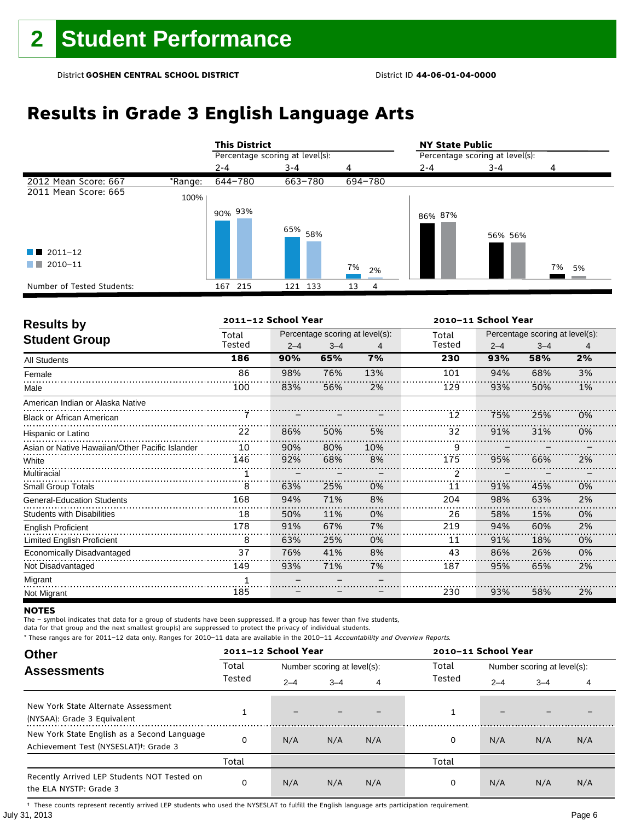# **Results in Grade 3 English Language Arts**

|                            |         | <b>This District</b>            |                    |          | <b>NY State Public</b> |                                 |          |  |  |
|----------------------------|---------|---------------------------------|--------------------|----------|------------------------|---------------------------------|----------|--|--|
|                            |         | Percentage scoring at level(s): |                    |          |                        | Percentage scoring at level(s): |          |  |  |
|                            |         | $2 - 4$                         | $3 - 4$            | 4        | $2 - 4$                | 3-4                             | 4        |  |  |
| 2012 Mean Score: 667       | *Range: | 644-780                         | 663-780            | 694-780  |                        |                                 |          |  |  |
| 2011 Mean Score: 665       | 100%    |                                 |                    |          |                        |                                 |          |  |  |
|                            |         | 90% 93%                         | 65% <sub>58%</sub> |          | 86% 87%                | 56% 56%                         |          |  |  |
| $\blacksquare$ 2011-12     |         |                                 |                    |          |                        |                                 |          |  |  |
| 2010-11<br>. .             |         |                                 |                    | 7%<br>2% |                        |                                 | 7%<br>5% |  |  |
| Number of Tested Students: |         | 167 215                         | 121 133            | 13<br>4  |                        |                                 |          |  |  |

| <b>Results by</b>                               |        | 2011-12 School Year |                                 |     |        | 2010-11 School Year |                                 |    |  |
|-------------------------------------------------|--------|---------------------|---------------------------------|-----|--------|---------------------|---------------------------------|----|--|
| <b>Student Group</b>                            | Total  |                     | Percentage scoring at level(s): |     | Total  |                     | Percentage scoring at level(s): |    |  |
|                                                 | Tested | $2 - 4$             | $3 - 4$                         | 4   | Tested | $2 - 4$             | $3 - 4$                         | 4  |  |
| <b>All Students</b>                             | 186    | 90%                 | 65%                             | 7%  | 230    | 93%                 | 58%                             | 2% |  |
| Female                                          | 86     | 98%                 | 76%                             | 13% | 101    | 94%                 | 68%                             | 3% |  |
| Male                                            | 100    | 83%                 | 56%                             | 2%  | 129    | 93%                 | 50%                             | 1% |  |
| American Indian or Alaska Native                |        |                     |                                 |     |        |                     |                                 |    |  |
| <b>Black or African American</b>                |        |                     |                                 |     | 12     | 75%                 | 25%                             | 0% |  |
| Hispanic or Latino                              | 22     | 86%                 | 50%                             | 5%  | 32     | 91%                 | 31%                             | 0% |  |
| Asian or Native Hawaiian/Other Pacific Islander | 10     | 90%                 | 80%                             | 10% | 9      |                     |                                 |    |  |
| White                                           | 146    | 92%                 | 68%                             | 8%  | 175    | 95%                 | 66%                             | 2% |  |
| Multiracial                                     |        |                     |                                 |     | 2      |                     |                                 |    |  |
| <b>Small Group Totals</b>                       | 8      | 63%                 | 25%                             | 0%  | 11     | 91%                 | 45%                             | 0% |  |
| <b>General-Education Students</b>               | 168    | 94%                 | 71%                             | 8%  | 204    | 98%                 | 63%                             | 2% |  |
| <b>Students with Disabilities</b>               | 18     | 50%                 | 11%                             | 0%  | 26     | 58%                 | 15%                             | 0% |  |
| <b>English Proficient</b>                       | 178    | 91%                 | 67%                             | 7%  | 219    | 94%                 | 60%                             | 2% |  |
| <b>Limited English Proficient</b>               | 8      | 63%                 | 25%                             | 0%  | 11     | 91%                 | 18%                             | 0% |  |
| Economically Disadvantaged                      | 37     | 76%                 | 41%                             | 8%  | 43     | 86%                 | 26%                             | 0% |  |
| Not Disadvantaged                               | 149    | 93%                 | 71%                             | 7%  | 187    | 95%                 | 65%                             | 2% |  |
| Migrant                                         |        |                     |                                 |     |        |                     |                                 |    |  |
| Not Migrant                                     | 185    |                     |                                 |     | 230    | 93%                 | 58%                             | 2% |  |

### **NOTES**

The – symbol indicates that data for a group of students have been suppressed. If a group has fewer than five students,

data for that group and the next smallest group(s) are suppressed to protect the privacy of individual students.

\* These ranges are for 2011–12 data only. Ranges for 2010–11 data are available in the 2010–11 Accountability and Overview Reports.

| <b>Other</b>                                                                                      |                                      | 2011-12 School Year |         |       |        | 2010-11 School Year         |         |     |  |
|---------------------------------------------------------------------------------------------------|--------------------------------------|---------------------|---------|-------|--------|-----------------------------|---------|-----|--|
| <b>Assessments</b>                                                                                | Total<br>Number scoring at level(s): |                     |         | Total |        | Number scoring at level(s): |         |     |  |
|                                                                                                   | Tested                               | $2 - 4$             | $3 - 4$ | 4     | Tested | $2 - 4$                     | $3 - 4$ | 4   |  |
| New York State Alternate Assessment<br>(NYSAA): Grade 3 Equivalent                                |                                      | -                   |         |       |        | -                           |         |     |  |
| New York State English as a Second Language<br>Achievement Test (NYSESLAT) <sup>+</sup> : Grade 3 |                                      | N/A                 | N/A     | N/A   | 0      | N/A                         | N/A     | N/A |  |
|                                                                                                   | Total                                |                     |         |       | Total  |                             |         |     |  |
| Recently Arrived LEP Students NOT Tested on<br>the ELA NYSTP: Grade 3                             | 0                                    | N/A                 | N/A     | N/A   | 0      | N/A                         | N/A     | N/A |  |

July 31, 2013 Page 6 † These counts represent recently arrived LEP students who used the NYSESLAT to fulfill the English language arts participation requirement.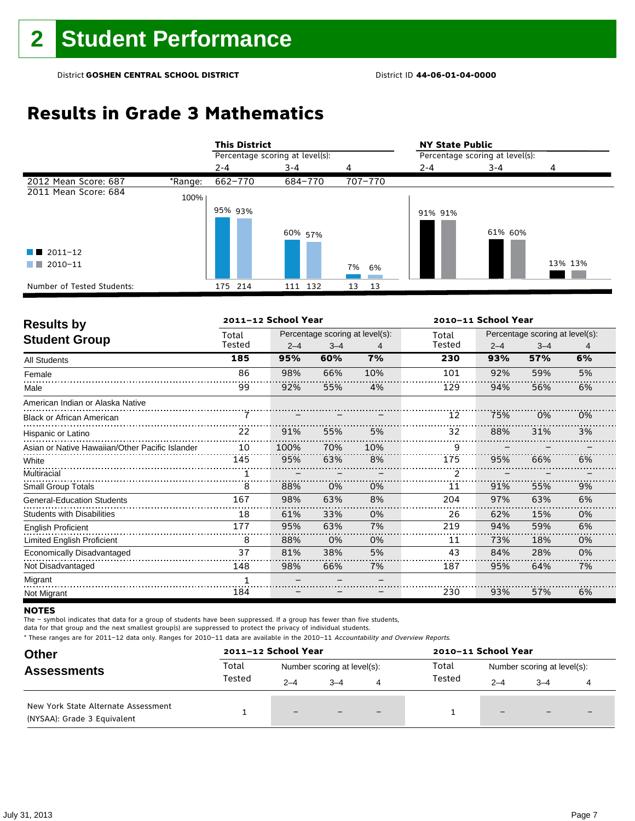# **Results in Grade 3 Mathematics**

|                            |         | <b>This District</b> |                                 |          | <b>NY State Public</b> |                                 |         |  |
|----------------------------|---------|----------------------|---------------------------------|----------|------------------------|---------------------------------|---------|--|
|                            |         |                      | Percentage scoring at level(s): |          |                        | Percentage scoring at level(s): |         |  |
|                            |         | $2 - 4$              | $3 - 4$                         | 4        | $2 - 4$                | $3 - 4$                         | 4       |  |
| 2012 Mean Score: 687       | *Range: | 662-770              | 684-770                         | 707-770  |                        |                                 |         |  |
| 2011 Mean Score: 684       | 100%    |                      |                                 |          |                        |                                 |         |  |
|                            |         | 95% 93%              | 60% 57%                         |          | 91% 91%                | 61% 60%                         |         |  |
| $\blacksquare$ 2011-12     |         |                      |                                 |          |                        |                                 |         |  |
| 2010-11<br>. .             |         |                      |                                 | 7%<br>6% |                        |                                 | 13% 13% |  |
| Number of Tested Students: |         | 175 214              | 111 132                         | 13<br>13 |                        |                                 |         |  |

| <b>Results by</b>                               |        | 2011-12 School Year |                                 |     |        | 2010-11 School Year             |         |    |  |
|-------------------------------------------------|--------|---------------------|---------------------------------|-----|--------|---------------------------------|---------|----|--|
| <b>Student Group</b>                            | Total  |                     | Percentage scoring at level(s): |     | Total  | Percentage scoring at level(s): |         |    |  |
|                                                 | Tested | $2 - 4$             | $3 - 4$                         | 4   | Tested | $2 - 4$                         | $3 - 4$ | 4  |  |
| All Students                                    | 185    | 95%                 | 60%                             | 7%  | 230    | 93%                             | 57%     | 6% |  |
| Female                                          | 86     | 98%                 | 66%                             | 10% | 101    | 92%                             | 59%     | 5% |  |
| Male                                            | 99     | 92%                 | 55%                             | 4%  | 129    | 94%                             | 56%     | 6% |  |
| American Indian or Alaska Native                |        |                     |                                 |     |        |                                 |         |    |  |
| <b>Black or African American</b>                | 7      |                     |                                 |     | 12     | 75%                             | 0%      | 0% |  |
| Hispanic or Latino                              | 22     | 91%                 | 55%                             | 5%  | 32     | 88%                             | 31%     | 3% |  |
| Asian or Native Hawaiian/Other Pacific Islander | 10     | 100%                | 70%                             | 10% | 9      |                                 |         |    |  |
| White                                           | 145    | 95%                 | 63%                             | 8%  | 175    | 95%                             | 66%     | 6% |  |
| Multiracial                                     |        |                     |                                 |     | 2      |                                 |         |    |  |
| <b>Small Group Totals</b>                       | 8      | 88%                 | 0%                              | 0%  | 11     | 91%                             | 55%     | 9% |  |
| <b>General-Education Students</b>               | 167    | 98%                 | 63%                             | 8%  | 204    | 97%                             | 63%     | 6% |  |
| <b>Students with Disabilities</b>               | 18     | 61%                 | 33%                             | 0%  | 26     | 62%                             | 15%     | 0% |  |
| <b>English Proficient</b>                       | 177    | 95%                 | 63%                             | 7%  | 219    | 94%                             | 59%     | 6% |  |
| <b>Limited English Proficient</b>               | 8      | 88%                 | 0%                              | 0%  | 11     | 73%                             | 18%     | 0% |  |
| Economically Disadvantaged                      | 37     | 81%                 | 38%                             | 5%  | 43     | 84%                             | 28%     | 0% |  |
| Not Disadvantaged                               | 148    | 98%                 | 66%                             | 7%  | 187    | 95%                             | 64%     | 7% |  |
| Migrant                                         |        |                     |                                 |     |        |                                 |         |    |  |
| Not Migrant                                     | 184    |                     |                                 |     | 230    | 93%                             | 57%     | 6% |  |

### **NOTES**

The – symbol indicates that data for a group of students have been suppressed. If a group has fewer than five students,

data for that group and the next smallest group(s) are suppressed to protect the privacy of individual students.

| <b>Other</b>                                                       |        | 2011-12 School Year         |         |                          |        | 2010-11 School Year         |                          |                          |  |
|--------------------------------------------------------------------|--------|-----------------------------|---------|--------------------------|--------|-----------------------------|--------------------------|--------------------------|--|
| <b>Assessments</b>                                                 | Total  | Number scoring at level(s): |         |                          | Total  | Number scoring at level(s): |                          |                          |  |
|                                                                    | Tested | $2 - 4$                     | $3 - 4$ | 4                        | Tested | $2 - 4$                     | $3 - 4$                  |                          |  |
| New York State Alternate Assessment<br>(NYSAA): Grade 3 Equivalent |        | $-$                         |         | $\overline{\phantom{0}}$ |        | $-$                         | $\overline{\phantom{0}}$ | $\overline{\phantom{0}}$ |  |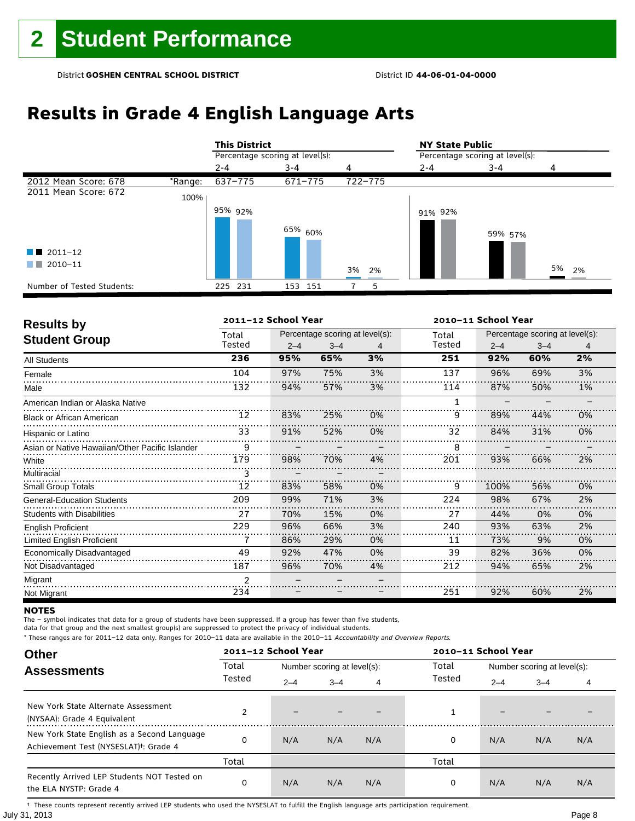# **Results in Grade 4 English Language Arts**

|                            |         | <b>This District</b>            |                    |         | <b>NY State Public</b>          |         |       |  |
|----------------------------|---------|---------------------------------|--------------------|---------|---------------------------------|---------|-------|--|
|                            |         | Percentage scoring at level(s): |                    |         | Percentage scoring at level(s): |         |       |  |
|                            |         | $2 - 4$                         | $3 - 4$            | 4       | $2 - 4$                         | $3 - 4$ | 4     |  |
| 2012 Mean Score: 678       | *Range: | 637-775                         | 671-775            | 722-775 |                                 |         |       |  |
| 2011 Mean Score: 672       | 100%    |                                 |                    |         |                                 |         |       |  |
|                            |         | 95% 92%                         |                    |         | 91% 92%                         |         |       |  |
|                            |         |                                 | <sup>65%</sup> 60% |         |                                 | 59% 57% |       |  |
| $\blacksquare$ 2011-12     |         |                                 |                    |         |                                 |         |       |  |
| 2010-11<br>. .             |         |                                 |                    | 3% 2%   |                                 |         | 5% 2% |  |
| Number of Tested Students: |         | 231<br>225                      | 151<br>153         | 5       |                                 |         |       |  |

| <b>Results by</b>                               |                | 2011-12 School Year |                                 |    |              | 2010-11 School Year |                                 |    |  |
|-------------------------------------------------|----------------|---------------------|---------------------------------|----|--------------|---------------------|---------------------------------|----|--|
| <b>Student Group</b>                            | Total          |                     | Percentage scoring at level(s): |    | Total        |                     | Percentage scoring at level(s): |    |  |
|                                                 | Tested         | $2 - 4$             | $3 - 4$                         | 4  | Tested       | $2 - 4$             | $3 - 4$                         | 4  |  |
| <b>All Students</b>                             | 236            | 95%                 | 65%                             | 3% | 251          | 92%                 | 60%                             | 2% |  |
| Female                                          | 104            | 97%                 | 75%                             | 3% | 137          | 96%                 | 69%                             | 3% |  |
| Male                                            | 132            | 94%                 | 57%                             | 3% | 114          | 87%                 | 50%                             | 1% |  |
| American Indian or Alaska Native                |                |                     |                                 |    | $\mathbf{1}$ |                     |                                 |    |  |
| <b>Black or African American</b>                | 12             | 83%                 | 25%                             | 0% | 9            | 89%                 | 44%                             | 0% |  |
| Hispanic or Latino                              | 33             | 91%                 | 52%                             | 0% | 32           | 84%                 | 31%                             | 0% |  |
| Asian or Native Hawaiian/Other Pacific Islander | 9              |                     |                                 |    | 8            |                     |                                 |    |  |
| White                                           | 179            | 98%                 | 70%                             | 4% | 201          | 93%                 | 66%                             | 2% |  |
| Multiracial                                     | 3              |                     |                                 |    |              |                     |                                 |    |  |
| <b>Small Group Totals</b>                       | 12             | 83%                 | 58%                             | 0% | 9            | 100%                | 56%                             | 0% |  |
| <b>General-Education Students</b>               | 209            | 99%                 | 71%                             | 3% | 224          | 98%                 | 67%                             | 2% |  |
| <b>Students with Disabilities</b>               | 27             | 70%                 | 15%                             | 0% | 27           | 44%                 | 0%                              | 0% |  |
| <b>English Proficient</b>                       | 229            | 96%                 | 66%                             | 3% | 240          | 93%                 | 63%                             | 2% |  |
| <b>Limited English Proficient</b>               |                | 86%                 | 29%                             | 0% | 11           | 73%                 | 9%                              | 0% |  |
| Economically Disadvantaged                      | 49             | 92%                 | 47%                             | 0% | 39           | 82%                 | 36%                             | 0% |  |
| Not Disadvantaged                               | 187            | 96%                 | 70%                             | 4% | 212          | 94%                 | 65%                             | 2% |  |
| Migrant                                         | $\overline{2}$ |                     |                                 |    |              |                     |                                 |    |  |
| Not Migrant                                     | 234            |                     |                                 |    | 251          | 92%                 | 60%                             | 2% |  |

### **NOTES**

The – symbol indicates that data for a group of students have been suppressed. If a group has fewer than five students,

data for that group and the next smallest group(s) are suppressed to protect the privacy of individual students.

\* These ranges are for 2011–12 data only. Ranges for 2010–11 data are available in the 2010–11 Accountability and Overview Reports.

| <b>Other</b>                                                                                      |        |         | 2011-12 School Year<br>2010-11 School Year |     |        |                             |         |     |
|---------------------------------------------------------------------------------------------------|--------|---------|--------------------------------------------|-----|--------|-----------------------------|---------|-----|
| <b>Assessments</b>                                                                                | Total  |         | Number scoring at level(s):                |     | Total  | Number scoring at level(s): |         |     |
|                                                                                                   | Tested | $2 - 4$ | $3 - 4$                                    | 4   | Tested | $2 - 4$                     | $3 - 4$ | 4   |
| New York State Alternate Assessment<br>(NYSAA): Grade 4 Equivalent                                |        |         |                                            |     |        | $\overline{\phantom{0}}$    |         |     |
| New York State English as a Second Language<br>Achievement Test (NYSESLAT) <sup>+</sup> : Grade 4 | O      | N/A     | N/A                                        | N/A | 0      | N/A                         | N/A     | N/A |
|                                                                                                   | Total  |         |                                            |     | Total  |                             |         |     |
| Recently Arrived LEP Students NOT Tested on<br>the ELA NYSTP: Grade 4                             | 0      | N/A     | N/A                                        | N/A | 0      | N/A                         | N/A     | N/A |

July 31, 2013 Page 8 † These counts represent recently arrived LEP students who used the NYSESLAT to fulfill the English language arts participation requirement.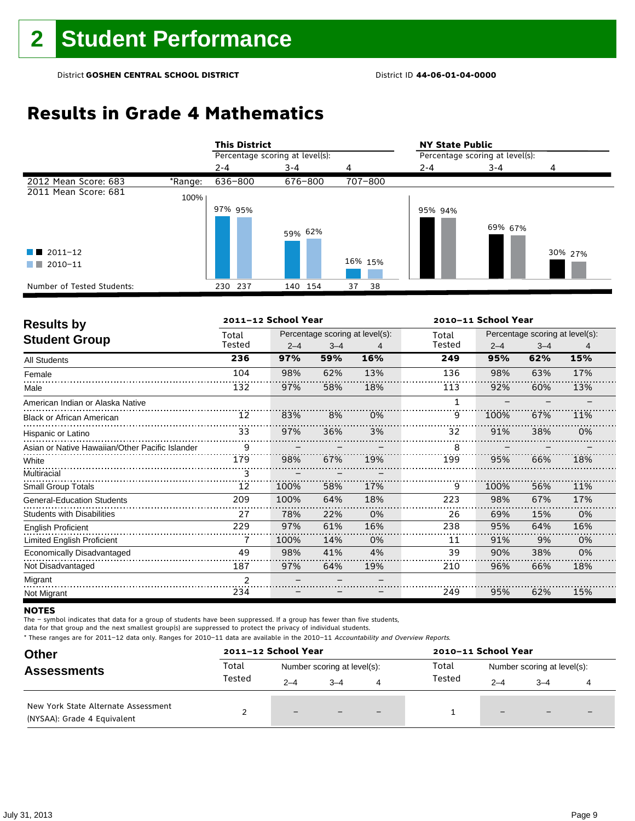# **Results in Grade 4 Mathematics**

|                            |         | <b>This District</b>            |         |          | <b>NY State Public</b>          |         |         |
|----------------------------|---------|---------------------------------|---------|----------|---------------------------------|---------|---------|
|                            |         | Percentage scoring at level(s): |         |          | Percentage scoring at level(s): |         |         |
|                            |         | $2 - 4$                         | $3 - 4$ | 4        | $2 - 4$                         | $3 - 4$ | 4       |
| 2012 Mean Score: 683       | *Range: | 636-800                         | 676-800 | 707-800  |                                 |         |         |
| 2011 Mean Score: 681       | 100%    |                                 |         |          |                                 |         |         |
|                            |         | 97% 95%                         | 59% 62% |          | 95% 94%                         | 69% 67% |         |
| $\blacksquare$ 2011-12     |         |                                 |         |          |                                 |         | 30% 27% |
| 2010-11<br>a katika        |         |                                 |         | 16% 15%  |                                 |         |         |
| Number of Tested Students: |         | 230 237                         | 140 154 | 37<br>38 |                                 |         |         |

| <b>Results by</b>                               | 2011-12 School Year<br>2010-11 School Year |         |         |                                 |        |         |                                 |     |  |
|-------------------------------------------------|--------------------------------------------|---------|---------|---------------------------------|--------|---------|---------------------------------|-----|--|
|                                                 | Total                                      |         |         | Percentage scoring at level(s): | Total  |         | Percentage scoring at level(s): |     |  |
| <b>Student Group</b>                            | Tested                                     | $2 - 4$ | $3 - 4$ | 4                               | Tested | $2 - 4$ | $3 - 4$                         | 4   |  |
| <b>All Students</b>                             | 236                                        | 97%     | 59%     | 16%                             | 249    | 95%     | 62%                             | 15% |  |
| Female                                          | 104                                        | 98%     | 62%     | 13%                             | 136    | 98%     | 63%                             | 17% |  |
| Male                                            | 132                                        | 97%     | 58%     | 18%                             | 113    | 92%     | 60%                             | 13% |  |
| American Indian or Alaska Native                |                                            |         |         |                                 | 1      |         |                                 |     |  |
| <b>Black or African American</b>                | 12                                         | 83%     | 8%      | 0%                              | 9      | 100%    | 67%                             | 11% |  |
| Hispanic or Latino                              | 33                                         | 97%     | 36%     | 3%                              | 32     | 91%     | 38%                             | 0%  |  |
| Asian or Native Hawaiian/Other Pacific Islander | 9                                          |         |         |                                 | 8      |         |                                 |     |  |
| White                                           | 179                                        | 98%     | 67%     | 19%                             | 199    | 95%     | 66%                             | 18% |  |
| Multiracial                                     | 3                                          |         |         |                                 |        |         |                                 |     |  |
| <b>Small Group Totals</b>                       | 12                                         | 100%    | 58%     | 17%                             | 9      | 100%    | 56%                             | 11% |  |
| <b>General-Education Students</b>               | 209                                        | 100%    | 64%     | 18%                             | 223    | 98%     | 67%                             | 17% |  |
| <b>Students with Disabilities</b>               | 27                                         | 78%     | 22%     | 0%                              | 26     | 69%     | 15%                             | 0%  |  |
| <b>English Proficient</b>                       | 229                                        | 97%     | 61%     | 16%                             | 238    | 95%     | 64%                             | 16% |  |
| <b>Limited English Proficient</b>               |                                            | 100%    | 14%     | 0%                              | 11     | 91%     | 9%                              | 0%  |  |
| Economically Disadvantaged                      | 49                                         | 98%     | 41%     | 4%                              | 39     | 90%     | 38%                             | 0%  |  |
| Not Disadvantaged                               | 187                                        | 97%     | 64%     | 19%                             | 210    | 96%     | 66%                             | 18% |  |
| Migrant                                         | $\overline{2}$                             |         |         |                                 |        |         |                                 |     |  |
| Not Migrant                                     | 234                                        |         |         |                                 | 249    | 95%     | 62%                             | 15% |  |

### **NOTES**

The – symbol indicates that data for a group of students have been suppressed. If a group has fewer than five students,

data for that group and the next smallest group(s) are suppressed to protect the privacy of individual students.

| <b>Other</b>                                                       |        | 2011-12 School Year         |         |     | 2010-11 School Year |                             |         |  |
|--------------------------------------------------------------------|--------|-----------------------------|---------|-----|---------------------|-----------------------------|---------|--|
| <b>Assessments</b>                                                 | Total  | Number scoring at level(s): |         |     | Total               | Number scoring at level(s): |         |  |
|                                                                    | Tested | $2 - 4$                     | $3 - 4$ | 4   | Tested              | $2 - 4$                     | $3 - 4$ |  |
| New York State Alternate Assessment<br>(NYSAA): Grade 4 Equivalent |        | $-$                         |         | $-$ |                     | $\qquad \qquad -$           | $-$     |  |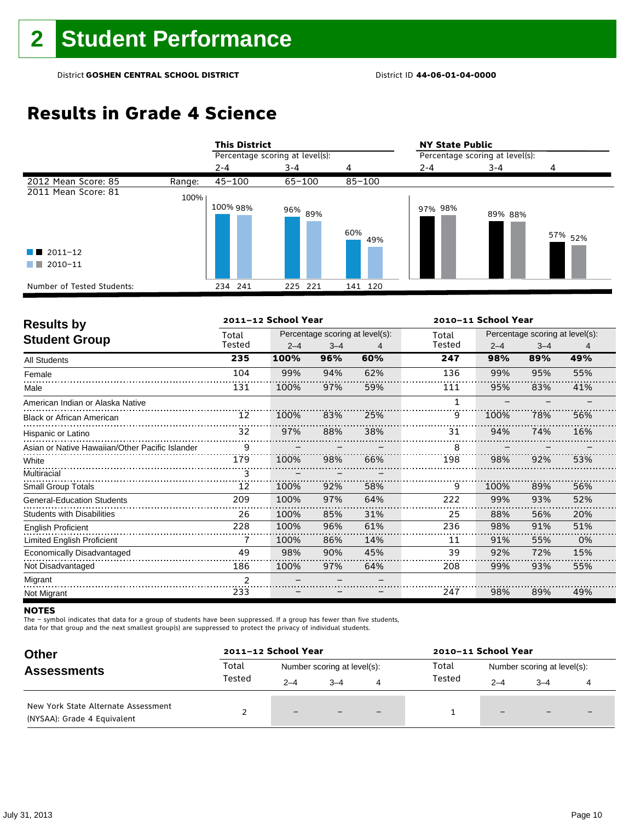# **Results in Grade 4 Science**

|                                             |        | <b>This District</b>            |                    |            | <b>NY State Public</b>          |         |                    |  |
|---------------------------------------------|--------|---------------------------------|--------------------|------------|---------------------------------|---------|--------------------|--|
|                                             |        | Percentage scoring at level(s): |                    |            | Percentage scoring at level(s): |         |                    |  |
|                                             |        | $2 - 4$                         | $3 - 4$            | 4          | $2 - 4$                         | $3 - 4$ |                    |  |
| 2012 Mean Score: 85                         | Range: | $45 - 100$                      | $65 - 100$         | $85 - 100$ |                                 |         |                    |  |
| 2011 Mean Score: 81                         | 100%   | 100% 98%                        | 96% <sub>89%</sub> | 60%<br>49% | 97% 98%                         | 89% 88% | 57% <sub>52%</sub> |  |
| $\blacksquare$ 2011-12<br>2010-11<br>a sa T |        |                                 |                    |            |                                 |         |                    |  |
|                                             |        |                                 |                    |            |                                 |         |                    |  |
| Number of Tested Students:                  |        | 234 241                         | 225 221            | 141 120    |                                 |         |                    |  |

| <b>Results by</b>                               |                | 2011-12 School Year |                                 |     | 2010-11 School Year |         |                                 |     |  |
|-------------------------------------------------|----------------|---------------------|---------------------------------|-----|---------------------|---------|---------------------------------|-----|--|
| <b>Student Group</b>                            | Total          |                     | Percentage scoring at level(s): |     | Total               |         | Percentage scoring at level(s): |     |  |
|                                                 | Tested         | $2 - 4$             | $3 - 4$                         | 4   | Tested              | $2 - 4$ | $3 - 4$                         | 4   |  |
| <b>All Students</b>                             | 235            | 100%                | 96%                             | 60% | 247                 | 98%     | 89%                             | 49% |  |
| Female                                          | 104            | 99%                 | 94%                             | 62% | 136                 | 99%     | 95%                             | 55% |  |
| Male                                            | 131            | 100%                | 97%                             | 59% | 111                 | 95%     | 83%                             | 41% |  |
| American Indian or Alaska Native                |                |                     |                                 |     | 1                   |         |                                 |     |  |
| <b>Black or African American</b>                | 12             | 100%                | 83%                             | 25% | 9                   | 100%    | 78%                             | 56% |  |
| Hispanic or Latino                              | 32             | 97%                 | 88%                             | 38% | 31                  | 94%     | 74%                             | 16% |  |
| Asian or Native Hawaiian/Other Pacific Islander | 9              |                     |                                 |     | 8                   |         |                                 |     |  |
| White                                           | 179            | 100%                | 98%                             | 66% | 198                 | 98%     | 92%                             | 53% |  |
| Multiracial                                     | 3              |                     |                                 |     |                     |         |                                 |     |  |
| <b>Small Group Totals</b>                       | 12             | 100%                | 92%                             | 58% | 9                   | 100%    | 89%                             | 56% |  |
| <b>General-Education Students</b>               | 209            | 100%                | 97%                             | 64% | 222                 | 99%     | 93%                             | 52% |  |
| <b>Students with Disabilities</b>               | 26             | 100%                | 85%                             | 31% | 25                  | 88%     | 56%                             | 20% |  |
| <b>English Proficient</b>                       | 228            | 100%                | 96%                             | 61% | 236                 | 98%     | 91%                             | 51% |  |
| <b>Limited English Proficient</b>               | 7              | 100%                | 86%                             | 14% | 11                  | 91%     | 55%                             | 0%  |  |
| Economically Disadvantaged                      | 49             | 98%                 | 90%                             | 45% | 39                  | 92%     | 72%                             | 15% |  |
| Not Disadvantaged                               | 186            | 100%                | 97%                             | 64% | 208                 | 99%     | 93%                             | 55% |  |
| Migrant                                         | $\overline{2}$ |                     |                                 |     |                     |         |                                 |     |  |
| Not Migrant                                     | 233            |                     |                                 |     | 247                 | 98%     | 89%                             | 49% |  |

### **NOTES**

The – symbol indicates that data for a group of students have been suppressed. If a group has fewer than five students,

data for that group and the next smallest group(s) are suppressed to protect the privacy of individual students.

| <b>Other</b><br><b>Assessments</b>                                 |        | 2011-12 School Year<br>2010-11 School Year |         |                          |        |                             |                          |  |
|--------------------------------------------------------------------|--------|--------------------------------------------|---------|--------------------------|--------|-----------------------------|--------------------------|--|
|                                                                    | Total  | Number scoring at level(s):                |         |                          | Total  | Number scoring at level(s): |                          |  |
|                                                                    | Tested | $2 - 4$                                    | $3 - 4$ | 4                        | Tested | $2 - 4$                     | $3 - 4$                  |  |
| New York State Alternate Assessment<br>(NYSAA): Grade 4 Equivalent |        | -                                          |         | $\overline{\phantom{0}}$ |        | $\qquad \qquad -$           | $\overline{\phantom{0}}$ |  |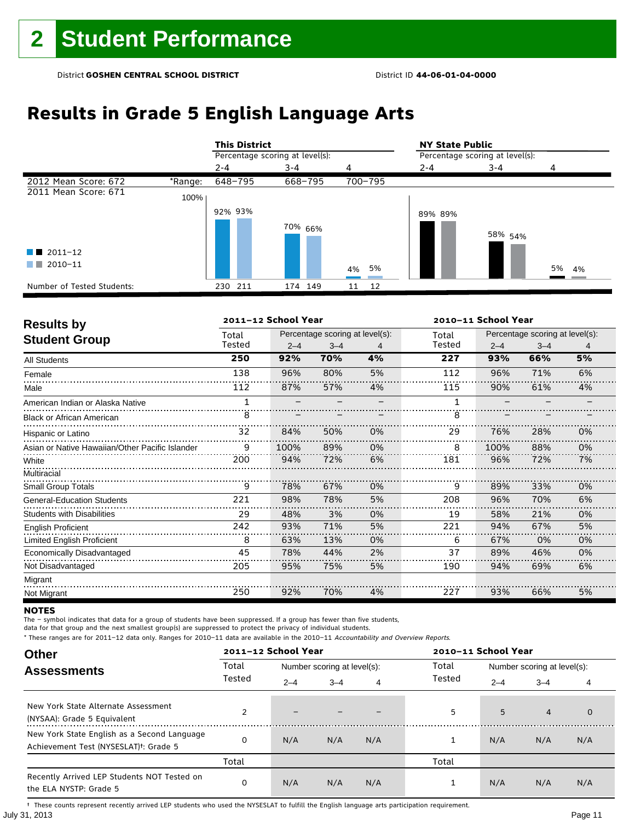# **Results in Grade 5 English Language Arts**

|                            |         | <b>This District</b>            |                    |          | <b>NY State Public</b>          |                    |          |  |
|----------------------------|---------|---------------------------------|--------------------|----------|---------------------------------|--------------------|----------|--|
|                            |         | Percentage scoring at level(s): |                    |          | Percentage scoring at level(s): |                    |          |  |
|                            |         | $2 - 4$                         | 3-4                | 4        | $2 - 4$                         | 3-4                | 4        |  |
| 2012 Mean Score: 672       | *Range: | 648-795                         | 668-795            | 700-795  |                                 |                    |          |  |
| 2011 Mean Score: 671       | 100%    |                                 |                    |          |                                 |                    |          |  |
|                            |         | 92% 93%                         |                    |          | 89% 89%                         |                    |          |  |
|                            |         |                                 | <sup>70%</sup> 66% |          |                                 | 58% <sub>54%</sub> |          |  |
| $\blacksquare$ 2011-12     |         |                                 |                    |          |                                 |                    |          |  |
| 2010-11<br>. .             |         |                                 |                    | 4% 5%    |                                 |                    | 5%<br>4% |  |
| Number of Tested Students: |         | 230 211                         | 174 149            | 12<br>11 |                                 |                    |          |  |

| <b>Results by</b>                               |        | 2011-12 School Year |                                 |    |        |         | 2010-11 School Year             |    |  |  |
|-------------------------------------------------|--------|---------------------|---------------------------------|----|--------|---------|---------------------------------|----|--|--|
| <b>Student Group</b>                            | Total  |                     | Percentage scoring at level(s): |    | Total  |         | Percentage scoring at level(s): |    |  |  |
|                                                 | Tested | $2 - 4$             | $3 - 4$                         | 4  | Tested | $2 - 4$ | $3 - 4$                         | 4  |  |  |
| All Students                                    | 250    | 92%                 | 70%                             | 4% | 227    | 93%     | 66%                             | 5% |  |  |
| Female                                          | 138    | 96%                 | 80%                             | 5% | 112    | 96%     | 71%                             | 6% |  |  |
| Male                                            | 112    | 87%                 | 57%                             | 4% | 115    | 90%     | 61%                             | 4% |  |  |
| American Indian or Alaska Native                |        |                     |                                 |    | 1      |         |                                 |    |  |  |
| <b>Black or African American</b>                | 8      |                     |                                 |    | 8      |         |                                 |    |  |  |
| Hispanic or Latino                              | 32     | 84%                 | 50%                             | 0% | 29     | 76%     | 28%                             | 0% |  |  |
| Asian or Native Hawaiian/Other Pacific Islander | 9      | 100%                | 89%                             | 0% | 8      | 100%    | 88%                             | 0% |  |  |
| White                                           | 200    | 94%                 | 72%                             | 6% | 181    | 96%     | 72%                             | 7% |  |  |
| Multiracial                                     |        |                     |                                 |    |        |         |                                 |    |  |  |
| <b>Small Group Totals</b>                       | 9      | 78%                 | 67%                             | 0% | 9      | 89%     | 33%                             | 0% |  |  |
| <b>General-Education Students</b>               | 221    | 98%                 | 78%                             | 5% | 208    | 96%     | 70%                             | 6% |  |  |
| <b>Students with Disabilities</b>               | 29     | 48%                 | 3%                              | 0% | 19     | 58%     | 21%                             | 0% |  |  |
| <b>English Proficient</b>                       | 242    | 93%                 | 71%                             | 5% | 221    | 94%     | 67%                             | 5% |  |  |
| <b>Limited English Proficient</b>               | 8      | 63%                 | 13%                             | 0% | 6      | 67%     | 0%                              | 0% |  |  |
| Economically Disadvantaged                      | 45     | 78%                 | 44%                             | 2% | 37     | 89%     | 46%                             | 0% |  |  |
| Not Disadvantaged                               | 205    | 95%                 | 75%                             | 5% | 190    | 94%     | 69%                             | 6% |  |  |
| Migrant                                         |        |                     |                                 |    |        |         |                                 |    |  |  |
| Not Migrant                                     | 250    | 92%                 | 70%                             | 4% | 227    | 93%     | 66%                             | 5% |  |  |

### **NOTES**

The – symbol indicates that data for a group of students have been suppressed. If a group has fewer than five students,

data for that group and the next smallest group(s) are suppressed to protect the privacy of individual students.

\* These ranges are for 2011–12 data only. Ranges for 2010–11 data are available in the 2010–11 Accountability and Overview Reports.

| <b>Other</b>                                                                                      |        | 2011-12 School Year<br>2010-11 School Year |                             |     |        |                             |                |             |  |
|---------------------------------------------------------------------------------------------------|--------|--------------------------------------------|-----------------------------|-----|--------|-----------------------------|----------------|-------------|--|
| <b>Assessments</b>                                                                                | Total  |                                            | Number scoring at level(s): |     | Total  | Number scoring at level(s): |                |             |  |
|                                                                                                   | Tested | $2 - 4$                                    | $3 - 4$                     | 4   | Tested | $2 - 4$                     | $3 - 4$        | 4           |  |
| New York State Alternate Assessment<br>(NYSAA): Grade 5 Equivalent                                |        |                                            |                             |     | 5      | 5                           | $\overline{4}$ | $\mathbf 0$ |  |
| New York State English as a Second Language<br>Achievement Test (NYSESLAT) <sup>+</sup> : Grade 5 | O      | N/A                                        | N/A                         | N/A |        | N/A                         | N/A            | N/A         |  |
|                                                                                                   | Total  |                                            |                             |     | Total  |                             |                |             |  |
| Recently Arrived LEP Students NOT Tested on<br>the ELA NYSTP: Grade 5                             | 0      | N/A                                        | N/A                         | N/A |        | N/A                         | N/A            | N/A         |  |

July 31, 2013 Page 11 † These counts represent recently arrived LEP students who used the NYSESLAT to fulfill the English language arts participation requirement.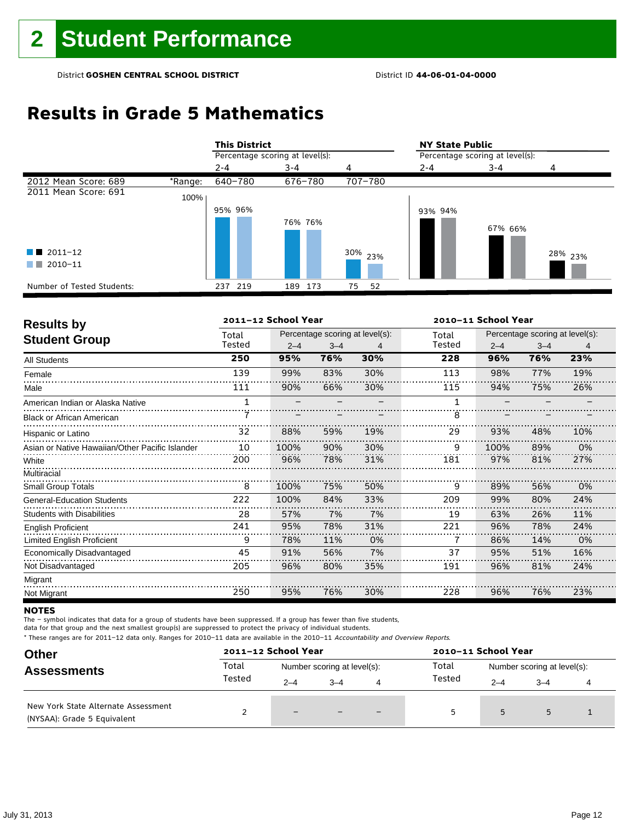# **Results in Grade 5 Mathematics**

|                            |         | <b>This District</b>            |            |          | <b>NY State Public</b>          |         |                    |  |
|----------------------------|---------|---------------------------------|------------|----------|---------------------------------|---------|--------------------|--|
|                            |         | Percentage scoring at level(s): |            |          | Percentage scoring at level(s): |         |                    |  |
|                            |         | $2 - 4$                         | $3 - 4$    | 4        | 2-4                             | $3 - 4$ |                    |  |
| 2012 Mean Score: 689       | *Range: | 640-780                         | 676-780    | 707-780  |                                 |         |                    |  |
| 2011 Mean Score: 691       | 100%    |                                 |            |          |                                 |         |                    |  |
|                            |         | 95% 96%                         |            |          | 93% 94%                         |         |                    |  |
|                            |         |                                 | 76% 76%    |          |                                 | 67% 66% |                    |  |
| $\blacksquare$ 2011-12     |         |                                 |            | 30% 23%  |                                 |         | <sup>28%</sup> 23% |  |
| 2010-11<br>a sa T          |         |                                 |            |          |                                 |         |                    |  |
| Number of Tested Students: |         | 237 219                         | 173<br>189 | 52<br>75 |                                 |         |                    |  |

| <b>Results by</b>                               |        | 2011-12 School Year |         | 2010-11 School Year             |        |                                 |         |     |  |
|-------------------------------------------------|--------|---------------------|---------|---------------------------------|--------|---------------------------------|---------|-----|--|
|                                                 | Total  |                     |         | Percentage scoring at level(s): | Total  | Percentage scoring at level(s): |         |     |  |
| <b>Student Group</b>                            | Tested | $2 - 4$             | $3 - 4$ | 4                               | Tested | $2 - 4$                         | $3 - 4$ | 4   |  |
| <b>All Students</b>                             | 250    | 95%                 | 76%     | 30%                             | 228    | 96%                             | 76%     | 23% |  |
| Female                                          | 139    | 99%                 | 83%     | 30%                             | 113    | 98%                             | 77%     | 19% |  |
| Male                                            | 111    | 90%                 | 66%     | 30%                             | 115    | 94%                             | 75%     | 26% |  |
| American Indian or Alaska Native                |        |                     |         |                                 | 1      |                                 |         |     |  |
| <b>Black or African American</b>                |        |                     |         |                                 | 8      |                                 |         |     |  |
| Hispanic or Latino                              | 32     | 88%                 | 59%     | 19%                             | 29     | 93%                             | 48%     | 10% |  |
| Asian or Native Hawaiian/Other Pacific Islander | 10     | 100%                | 90%     | 30%                             | 9      | 100%                            | 89%     | 0%  |  |
| White                                           | 200    | 96%                 | 78%     | 31%                             | 181    | 97%                             | 81%     | 27% |  |
| Multiracial                                     |        |                     |         |                                 |        |                                 |         |     |  |
| <b>Small Group Totals</b>                       | 8      | 100%                | 75%     | 50%                             | 9      | 89%                             | 56%     | 0%  |  |
| <b>General-Education Students</b>               | 222    | 100%                | 84%     | 33%                             | 209    | 99%                             | 80%     | 24% |  |
| <b>Students with Disabilities</b>               | 28     | 57%                 | 7%      | 7%                              | 19     | 63%                             | 26%     | 11% |  |
| <b>English Proficient</b>                       | 241    | 95%                 | 78%     | 31%                             | 221    | 96%                             | 78%     | 24% |  |
| Limited English Proficient                      | 9      | 78%                 | 11%     | 0%                              |        | 86%                             | 14%     | 0%  |  |
| Economically Disadvantaged                      | 45     | 91%                 | 56%     | 7%                              | 37     | 95%                             | 51%     | 16% |  |
| Not Disadvantaged                               | 205    | 96%                 | 80%     | 35%                             | 191    | 96%                             | 81%     | 24% |  |
| Migrant                                         |        |                     |         |                                 |        |                                 |         |     |  |
| Not Migrant                                     | 250    | 95%                 | 76%     | 30%                             | 228    | 96%                             | 76%     | 23% |  |

### **NOTES**

The – symbol indicates that data for a group of students have been suppressed. If a group has fewer than five students,

data for that group and the next smallest group(s) are suppressed to protect the privacy of individual students.

| <b>Other</b><br><b>Assessments</b>                                 |        | 2011-12 School Year         |         |   | 2010-11 School Year                  |         |         |  |  |
|--------------------------------------------------------------------|--------|-----------------------------|---------|---|--------------------------------------|---------|---------|--|--|
|                                                                    | Total  | Number scoring at level(s): |         |   | Total<br>Number scoring at level(s): |         |         |  |  |
|                                                                    | Tested | $2 - 4$                     | $3 - 4$ | 4 | Tested                               | $2 - 4$ | $3 - 4$ |  |  |
| New York State Alternate Assessment<br>(NYSAA): Grade 5 Equivalent |        | $-$                         |         |   | 5                                    | 5       |         |  |  |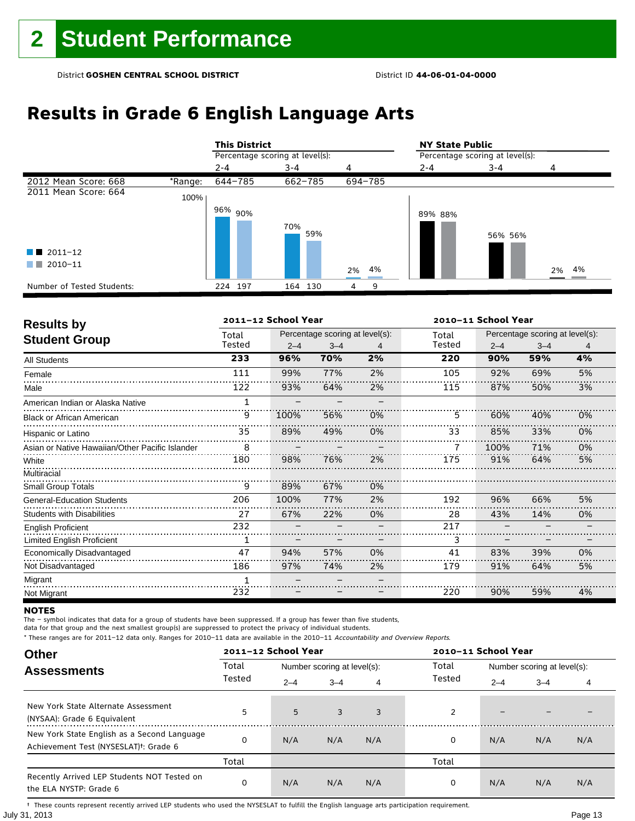# **Results in Grade 6 English Language Arts**

|                            |         | <b>This District</b>            |            |          | <b>NY State Public</b>          |         |          |  |  |
|----------------------------|---------|---------------------------------|------------|----------|---------------------------------|---------|----------|--|--|
|                            |         | Percentage scoring at level(s): |            |          | Percentage scoring at level(s): |         |          |  |  |
|                            |         | $2 - 4$                         | $3 - 4$    | 4        | $2 - 4$                         | 3-4     | 4        |  |  |
| 2012 Mean Score: 668       | *Range: | 644-785                         | 662-785    | 694-785  |                                 |         |          |  |  |
| 2011 Mean Score: 664       | 100%    |                                 |            |          |                                 |         |          |  |  |
|                            |         | 96% 90%                         | 70%<br>59% |          | 89% 88%                         | 56% 56% |          |  |  |
| $\blacksquare$ 2011-12     |         |                                 |            |          |                                 |         |          |  |  |
| 2010-11<br>a sa n          |         |                                 |            | 4%<br>2% |                                 |         | 4%<br>2% |  |  |
| Number of Tested Students: |         | 197<br>224                      | 164 130    | 9<br>4   |                                 |         |          |  |  |

| <b>Results by</b>                               |              | 2011-12 School Year |                                 |    | 2010-11 School Year |                                 |         |    |  |  |
|-------------------------------------------------|--------------|---------------------|---------------------------------|----|---------------------|---------------------------------|---------|----|--|--|
|                                                 | Total        |                     | Percentage scoring at level(s): |    | Total               | Percentage scoring at level(s): |         |    |  |  |
| <b>Student Group</b>                            | Tested       | $2 - 4$             | $3 - 4$                         | 4  | Tested              | $2 - 4$                         | $3 - 4$ | 4  |  |  |
| All Students                                    | 233          | 96%                 | 70%                             | 2% | 220                 | 90%                             | 59%     | 4% |  |  |
| Female                                          | 111          | 99%                 | 77%                             | 2% | 105                 | 92%                             | 69%     | 5% |  |  |
| Male                                            | 122          | 93%                 | 64%                             | 2% | 115                 | 87%                             | 50%     | 3% |  |  |
| American Indian or Alaska Native                |              |                     |                                 |    |                     |                                 |         |    |  |  |
| <b>Black or African American</b>                | 9            | 100%                | 56%                             | 0% | 5                   | 60%                             | 40%     | 0% |  |  |
| Hispanic or Latino                              | 35           | 89%                 | 49%                             | 0% | 33                  | 85%                             | 33%     | 0% |  |  |
| Asian or Native Hawaiian/Other Pacific Islander | 8            |                     |                                 |    |                     | 100%                            | 71%     | 0% |  |  |
| White                                           | 180          | 98%                 | 76%                             | 2% | 175                 | 91%                             | 64%     | 5% |  |  |
| Multiracial                                     |              |                     |                                 |    |                     |                                 |         |    |  |  |
| <b>Small Group Totals</b>                       | 9            | 89%                 | 67%                             | 0% |                     |                                 |         |    |  |  |
| <b>General-Education Students</b>               | 206          | 100%                | 77%                             | 2% | 192                 | 96%                             | 66%     | 5% |  |  |
| <b>Students with Disabilities</b>               | 27           | 67%                 | 22%                             | 0% | 28                  | 43%                             | 14%     | 0% |  |  |
| <b>English Proficient</b>                       | 232          |                     |                                 |    | 217                 |                                 |         |    |  |  |
| Limited English Proficient                      |              |                     |                                 |    | 3                   |                                 |         |    |  |  |
| Economically Disadvantaged                      | 47           | 94%                 | 57%                             | 0% | 41                  | 83%                             | 39%     | 0% |  |  |
| Not Disadvantaged                               | 186          | 97%                 | 74%                             | 2% | 179                 | 91%                             | 64%     | 5% |  |  |
| Migrant                                         | $\mathbf{1}$ |                     |                                 |    |                     |                                 |         |    |  |  |
| Not Migrant                                     | 232          |                     |                                 |    | 220                 | 90%                             | 59%     | 4% |  |  |

### **NOTES**

The – symbol indicates that data for a group of students have been suppressed. If a group has fewer than five students,

data for that group and the next smallest group(s) are suppressed to protect the privacy of individual students.

\* These ranges are for 2011–12 data only. Ranges for 2010–11 data are available in the 2010–11 Accountability and Overview Reports.

| <b>Other</b>                                                                                      |        | 2011-12 School Year<br>2010-11 School Year |                             |     |        |                             |         |     |
|---------------------------------------------------------------------------------------------------|--------|--------------------------------------------|-----------------------------|-----|--------|-----------------------------|---------|-----|
| <b>Assessments</b>                                                                                | Total  |                                            | Number scoring at level(s): |     | Total  | Number scoring at level(s): |         |     |
|                                                                                                   | Tested | $2 - 4$                                    | $3 - 4$                     | 4   | Tested | $2 - 4$                     | $3 - 4$ | 4   |
| New York State Alternate Assessment<br>(NYSAA): Grade 6 Equivalent                                | 5      | 5                                          | 3                           | 3   | 2      | -                           |         |     |
| New York State English as a Second Language<br>Achievement Test (NYSESLAT) <sup>†</sup> : Grade 6 |        | N/A                                        | N/A                         | N/A | 0      | N/A                         | N/A     | N/A |
|                                                                                                   | Total  |                                            |                             |     | Total  |                             |         |     |
| Recently Arrived LEP Students NOT Tested on<br>the ELA NYSTP: Grade 6                             | 0      | N/A                                        | N/A                         | N/A | 0      | N/A                         | N/A     | N/A |

July 31, 2013 Page 13 † These counts represent recently arrived LEP students who used the NYSESLAT to fulfill the English language arts participation requirement.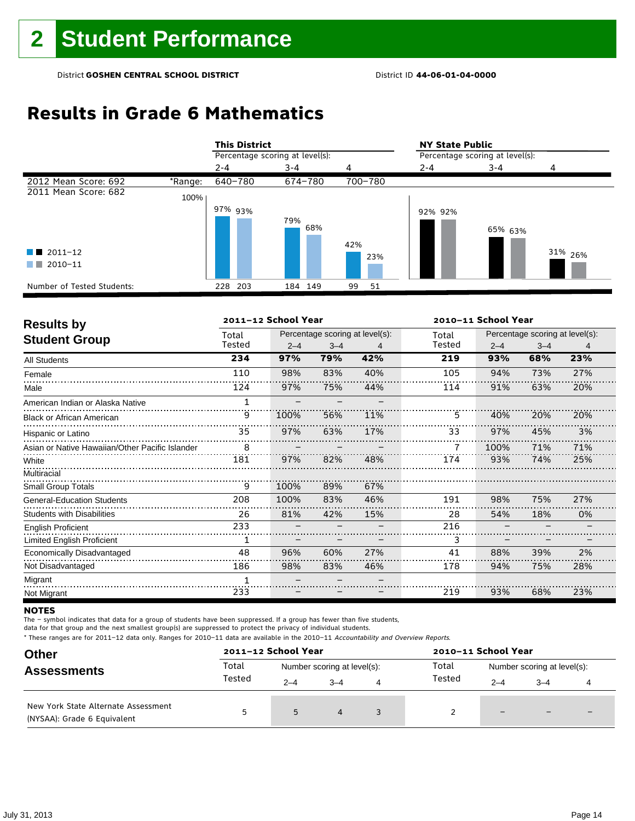# **Results in Grade 6 Mathematics**

|                                           |         | <b>This District</b>            |            |            | <b>NY State Public</b>          |         |                    |  |
|-------------------------------------------|---------|---------------------------------|------------|------------|---------------------------------|---------|--------------------|--|
|                                           |         | Percentage scoring at level(s): |            |            | Percentage scoring at level(s): |         |                    |  |
|                                           |         | $2 - 4$                         | $3 - 4$    | 4          | $2 - 4$                         | $3 - 4$ |                    |  |
| 2012 Mean Score: 692                      | *Range: | 640-780                         | 674-780    | 700-780    |                                 |         |                    |  |
| 2011 Mean Score: 682                      | 100%    |                                 |            |            |                                 |         |                    |  |
| $\blacksquare$ 2011-12<br>2010-11<br>a ka |         | 97% 93%                         | 79%<br>68% | 42%<br>23% | 92% 92%                         | 65% 63% | 31% <sub>26%</sub> |  |
| Number of Tested Students:                |         | 228 203                         | 184 149    | 99<br>51   |                                 |         |                    |  |

| <b>Results by</b>                               | 2011-12 School Year |         |         |                                 |        |         | 2010-11 School Year             |     |  |  |
|-------------------------------------------------|---------------------|---------|---------|---------------------------------|--------|---------|---------------------------------|-----|--|--|
|                                                 | Total               |         |         | Percentage scoring at level(s): | Total  |         | Percentage scoring at level(s): |     |  |  |
| <b>Student Group</b>                            | Tested              | $2 - 4$ | $3 - 4$ | 4                               | Tested | $2 - 4$ | $3 - 4$                         | 4   |  |  |
| <b>All Students</b>                             | 234                 | 97%     | 79%     | 42%                             | 219    | 93%     | 68%                             | 23% |  |  |
| Female                                          | 110                 | 98%     | 83%     | 40%                             | 105    | 94%     | 73%                             | 27% |  |  |
| Male                                            | 124                 | 97%     | 75%     | 44%                             | 114    | 91%     | 63%                             | 20% |  |  |
| American Indian or Alaska Native                | 1                   |         |         |                                 |        |         |                                 |     |  |  |
| <b>Black or African American</b>                | 9                   | 100%    | 56%     | 11%                             | 5      | 40%     | 20%                             | 20% |  |  |
| Hispanic or Latino                              | 35                  | 97%     | 63%     | 17%                             | 33     | 97%     | 45%                             | 3%  |  |  |
| Asian or Native Hawaiian/Other Pacific Islander | 8                   |         |         |                                 |        | 100%    | 71%                             | 71% |  |  |
| White                                           | 181                 | 97%     | 82%     | 48%                             | 174    | 93%     | 74%                             | 25% |  |  |
| Multiracial                                     |                     |         |         |                                 |        |         |                                 |     |  |  |
| <b>Small Group Totals</b>                       | 9                   | 100%    | 89%     | 67%                             |        |         |                                 |     |  |  |
| <b>General-Education Students</b>               | 208                 | 100%    | 83%     | 46%                             | 191    | 98%     | 75%                             | 27% |  |  |
| <b>Students with Disabilities</b>               | 26                  | 81%     | 42%     | 15%                             | 28     | 54%     | 18%                             | 0%  |  |  |
| <b>English Proficient</b>                       | 233                 |         |         |                                 | 216    |         |                                 |     |  |  |
| <b>Limited English Proficient</b>               |                     |         |         |                                 | 3      |         |                                 |     |  |  |
| Economically Disadvantaged                      | 48                  | 96%     | 60%     | 27%                             | 41     | 88%     | 39%                             | 2%  |  |  |
| Not Disadvantaged                               | 186                 | 98%     | 83%     | 46%                             | 178    | 94%     | 75%                             | 28% |  |  |
| Migrant                                         | $\mathbf{1}$        |         |         |                                 |        |         |                                 |     |  |  |
| Not Migrant                                     | 233                 |         |         |                                 | 219    | 93%     | 68%                             | 23% |  |  |

### **NOTES**

The – symbol indicates that data for a group of students have been suppressed. If a group has fewer than five students,

data for that group and the next smallest group(s) are suppressed to protect the privacy of individual students.

| <b>Other</b><br><b>Assessments</b>                                 |        | 2011-12 School Year         |                |   |        | 2010-11 School Year         |         |  |  |
|--------------------------------------------------------------------|--------|-----------------------------|----------------|---|--------|-----------------------------|---------|--|--|
|                                                                    | Total  | Number scoring at level(s): |                |   | Total  | Number scoring at level(s): |         |  |  |
|                                                                    | Tested | $2 - 4$                     | $3 - 4$        | 4 | Tested | $2 - 4$                     | $3 - 4$ |  |  |
| New York State Alternate Assessment<br>(NYSAA): Grade 6 Equivalent | 5      | 5                           | $\overline{4}$ |   |        | $-$                         |         |  |  |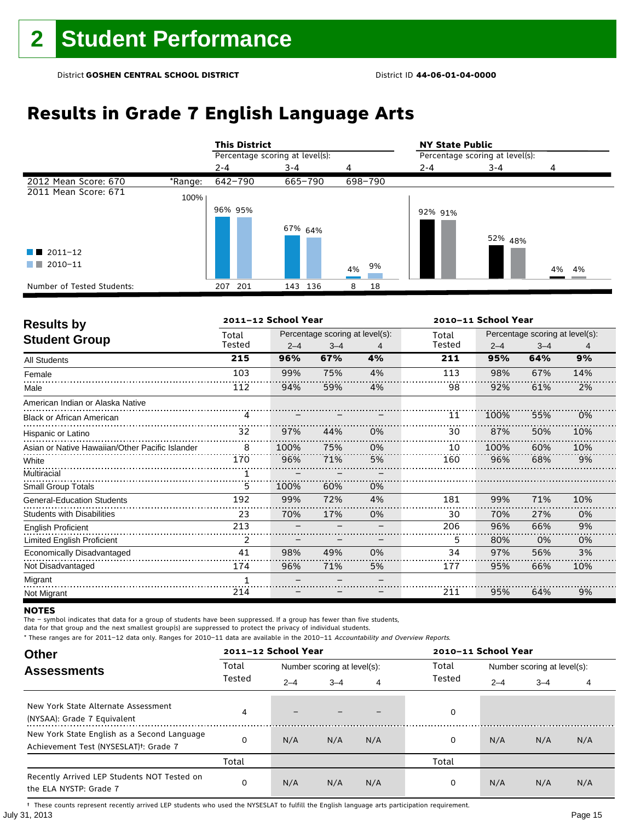# **Results in Grade 7 English Language Arts**

|                            |         | <b>This District</b>            |            |          | <b>NY State Public</b><br>Percentage scoring at level(s): |         |       |  |
|----------------------------|---------|---------------------------------|------------|----------|-----------------------------------------------------------|---------|-------|--|
|                            |         | Percentage scoring at level(s): |            |          |                                                           |         |       |  |
|                            |         | $2 - 4$                         | $3 - 4$    | 4        | $2 - 4$                                                   | 3-4     | 4     |  |
| 2012 Mean Score: 670       | *Range: | 642-790                         | 665-790    | 698-790  |                                                           |         |       |  |
| 2011 Mean Score: 671       | 100%    |                                 |            |          |                                                           |         |       |  |
|                            |         | 96% 95%                         |            |          | 92% 91%                                                   |         |       |  |
|                            |         |                                 | 67% 64%    |          |                                                           | 52% 48% |       |  |
| $\blacksquare$ 2011-12     |         |                                 |            |          |                                                           |         |       |  |
| 2010-11<br>a sa Ta         |         |                                 |            | 9%<br>4% |                                                           |         | 4% 4% |  |
| Number of Tested Students: |         | 201<br>207                      | 136<br>143 | 18<br>8  |                                                           |         |       |  |

| <b>Results by</b>                               |        | 2011-12 School Year |                                 |    |        | 2010-11 School Year |                                 |     |  |
|-------------------------------------------------|--------|---------------------|---------------------------------|----|--------|---------------------|---------------------------------|-----|--|
|                                                 | Total  |                     | Percentage scoring at level(s): |    | Total  |                     | Percentage scoring at level(s): |     |  |
| <b>Student Group</b>                            | Tested | $2 - 4$             | $3 - 4$                         | 4  | Tested | $2 - 4$             | $3 - 4$                         | 4   |  |
| <b>All Students</b>                             | 215    | 96%                 | 67%                             | 4% | 211    | 95%                 | 64%                             | 9%  |  |
| Female                                          | 103    | 99%                 | 75%                             | 4% | 113    | 98%                 | 67%                             | 14% |  |
| Male                                            | 112    | 94%                 | 59%                             | 4% | 98     | 92%                 | 61%                             | 2%  |  |
| American Indian or Alaska Native                |        |                     |                                 |    |        |                     |                                 |     |  |
| <b>Black or African American</b>                | 4      |                     |                                 |    | 11     | 100%                | 55%                             | 0%  |  |
| Hispanic or Latino                              | 32     | 97%                 | 44%                             | 0% | 30     | 87%                 | 50%                             | 10% |  |
| Asian or Native Hawaiian/Other Pacific Islander | 8      | 100%                | 75%                             | 0% | 10     | 100%                | 60%                             | 10% |  |
| White                                           | 170    | 96%                 | 71%                             | 5% | 160    | 96%                 | 68%                             | 9%  |  |
| Multiracial                                     | 1      |                     |                                 |    |        |                     |                                 |     |  |
| <b>Small Group Totals</b>                       | 5      | 100%                | 60%                             | 0% |        |                     |                                 |     |  |
| <b>General-Education Students</b>               | 192    | 99%                 | 72%                             | 4% | 181    | 99%                 | 71%                             | 10% |  |
| <b>Students with Disabilities</b>               | 23     | 70%                 | 17%                             | 0% | 30     | 70%                 | 27%                             | 0%  |  |
| <b>English Proficient</b>                       | 213    |                     |                                 |    | 206    | 96%                 | 66%                             | 9%  |  |
| Limited English Proficient                      | 2      |                     |                                 |    | 5      | 80%                 | 0%                              | 0%  |  |
| Economically Disadvantaged                      | 41     | 98%                 | 49%                             | 0% | 34     | 97%                 | 56%                             | 3%  |  |
| Not Disadvantaged                               | 174    | 96%                 | 71%                             | 5% | 177    | 95%                 | 66%                             | 10% |  |
| Migrant                                         | 1      |                     |                                 |    |        |                     |                                 |     |  |
| Not Migrant                                     | 214    |                     |                                 |    | 211    | 95%                 | 64%                             | 9%  |  |

### **NOTES**

The – symbol indicates that data for a group of students have been suppressed. If a group has fewer than five students,

data for that group and the next smallest group(s) are suppressed to protect the privacy of individual students.

\* These ranges are for 2011–12 data only. Ranges for 2010–11 data are available in the 2010–11 Accountability and Overview Reports.

| <b>Other</b>                                                                                      |        | 2011-12 School Year |                                      |     | 2010-11 School Year |                             |         |     |  |
|---------------------------------------------------------------------------------------------------|--------|---------------------|--------------------------------------|-----|---------------------|-----------------------------|---------|-----|--|
| <b>Assessments</b>                                                                                | Total  |                     | Total<br>Number scoring at level(s): |     |                     | Number scoring at level(s): |         |     |  |
|                                                                                                   | Tested | $2 - 4$             | $3 - 4$                              | 4   | Tested              | $2 - 4$                     | $3 - 4$ | 4   |  |
| New York State Alternate Assessment<br>(NYSAA): Grade 7 Equivalent                                | 4      |                     |                                      |     | 0                   |                             |         |     |  |
| New York State English as a Second Language<br>Achievement Test (NYSESLAT) <sup>t</sup> : Grade 7 |        | N/A                 | N/A                                  | N/A | 0                   | N/A                         | N/A     | N/A |  |
|                                                                                                   | Total  |                     |                                      |     | Total               |                             |         |     |  |
| Recently Arrived LEP Students NOT Tested on<br>the ELA NYSTP: Grade 7                             | 0      | N/A                 | N/A                                  | N/A | 0                   | N/A                         | N/A     | N/A |  |

July 31, 2013 Page 15 † These counts represent recently arrived LEP students who used the NYSESLAT to fulfill the English language arts participation requirement.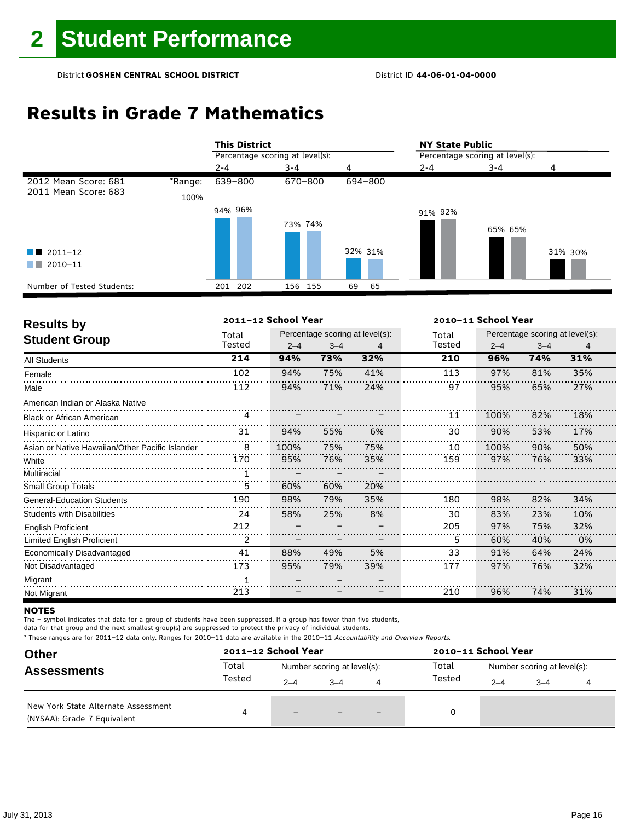# **Results in Grade 7 Mathematics**

|                            |         | <b>This District</b>            |         |          | <b>NY State Public</b>          |         |         |  |
|----------------------------|---------|---------------------------------|---------|----------|---------------------------------|---------|---------|--|
|                            |         | Percentage scoring at level(s): |         |          | Percentage scoring at level(s): |         |         |  |
|                            |         | $2 - 4$                         | $3 - 4$ | 4        | $3 - 4$<br>2-4                  |         |         |  |
| 2012 Mean Score: 681       | *Range: | 639-800                         | 670-800 | 694-800  |                                 |         |         |  |
| 2011 Mean Score: 683       | 100%    |                                 |         |          |                                 |         |         |  |
|                            |         | 94% 96%                         |         |          | 91% 92%                         |         |         |  |
|                            |         |                                 | 73% 74% |          |                                 | 65% 65% |         |  |
| $\blacksquare$ 2011-12     |         |                                 |         | 32% 31%  |                                 |         | 31% 30% |  |
| 2010-11<br>a sa T          |         |                                 |         |          |                                 |         |         |  |
| Number of Tested Students: |         | 201 202                         | 156 155 | 69<br>65 |                                 |         |         |  |

| <b>Results by</b>                               |              | 2011-12 School Year |         |                                 | 2010-11 School Year |     |                                                                                                                                                                                                                                                                                                    |     |
|-------------------------------------------------|--------------|---------------------|---------|---------------------------------|---------------------|-----|----------------------------------------------------------------------------------------------------------------------------------------------------------------------------------------------------------------------------------------------------------------------------------------------------|-----|
|                                                 | Total        |                     |         | Percentage scoring at level(s): | Total               |     | Percentage scoring at level(s):<br>$2 - 4$<br>$3 - 4$<br>4<br>74%<br>31%<br>96%<br>97%<br>81%<br>35%<br>95%<br>65%<br>27%<br>100%<br>82%<br>18%<br>90%<br>53%<br>17%<br>50%<br>100%<br>90%<br>97%<br>33%<br>76%<br>98%<br>82%<br>34%<br>83%<br>23%<br>10%<br>97%<br>75%<br>32%<br>60%<br>40%<br>0% |     |
| <b>Student Group</b>                            | Tested       | $2 - 4$             | $3 - 4$ | 4                               | Tested              |     |                                                                                                                                                                                                                                                                                                    |     |
| <b>All Students</b>                             | 214          | 94%                 | 73%     | 32%                             | 210                 |     |                                                                                                                                                                                                                                                                                                    |     |
| Female                                          | 102          | 94%                 | 75%     | 41%                             | 113                 |     |                                                                                                                                                                                                                                                                                                    |     |
| Male                                            | 112          | 94%                 | 71%     | 24%                             | 97                  |     |                                                                                                                                                                                                                                                                                                    |     |
| American Indian or Alaska Native                |              |                     |         |                                 |                     |     |                                                                                                                                                                                                                                                                                                    |     |
| <b>Black or African American</b>                | 4            |                     |         |                                 | 11                  |     |                                                                                                                                                                                                                                                                                                    |     |
| Hispanic or Latino                              | 31           | 94%                 | 55%     | 6%                              | 30                  |     |                                                                                                                                                                                                                                                                                                    |     |
| Asian or Native Hawaiian/Other Pacific Islander | 8            | 100%                | 75%     | 75%                             | 10                  |     |                                                                                                                                                                                                                                                                                                    |     |
| White                                           | 170          | 95%                 | 76%     | 35%                             | 159                 |     |                                                                                                                                                                                                                                                                                                    |     |
| Multiracial                                     | $\mathbf{1}$ |                     |         |                                 |                     |     |                                                                                                                                                                                                                                                                                                    |     |
| <b>Small Group Totals</b>                       | 5            | 60%                 | 60%     | 20%                             |                     |     |                                                                                                                                                                                                                                                                                                    |     |
| <b>General-Education Students</b>               | 190          | 98%                 | 79%     | 35%                             | 180                 |     |                                                                                                                                                                                                                                                                                                    |     |
| <b>Students with Disabilities</b>               | 24           | 58%                 | 25%     | 8%                              | 30                  |     |                                                                                                                                                                                                                                                                                                    |     |
| <b>English Proficient</b>                       | 212          |                     |         |                                 | 205                 |     |                                                                                                                                                                                                                                                                                                    |     |
| Limited English Proficient                      | 2            |                     |         |                                 | 5                   |     |                                                                                                                                                                                                                                                                                                    |     |
| Economically Disadvantaged                      | 41           | 88%                 | 49%     | 5%                              | 33                  | 91% | 64%                                                                                                                                                                                                                                                                                                | 24% |
| Not Disadvantaged                               | 173          | 95%                 | 79%     | 39%                             | 177                 | 97% | 76%                                                                                                                                                                                                                                                                                                | 32% |
| Migrant                                         | $\mathbf{1}$ |                     |         |                                 |                     |     |                                                                                                                                                                                                                                                                                                    |     |
| Not Migrant                                     | 213          |                     |         |                                 | 210                 | 96% | 74%                                                                                                                                                                                                                                                                                                | 31% |

### **NOTES**

The – symbol indicates that data for a group of students have been suppressed. If a group has fewer than five students,

data for that group and the next smallest group(s) are suppressed to protect the privacy of individual students.

| <b>Other</b>                                                       | 2011-12 School Year |                             |         |  | 2010-11 School Year |                             |         |  |  |
|--------------------------------------------------------------------|---------------------|-----------------------------|---------|--|---------------------|-----------------------------|---------|--|--|
| <b>Assessments</b>                                                 | Total               | Number scoring at level(s): |         |  | Total               | Number scoring at level(s): |         |  |  |
|                                                                    | Tested              | $2 - 4$                     | $3 - 4$ |  | Tested              | $2 - 4$                     | $3 - 4$ |  |  |
| New York State Alternate Assessment<br>(NYSAA): Grade 7 Equivalent | 4                   | $\overline{\phantom{0}}$    |         |  |                     |                             |         |  |  |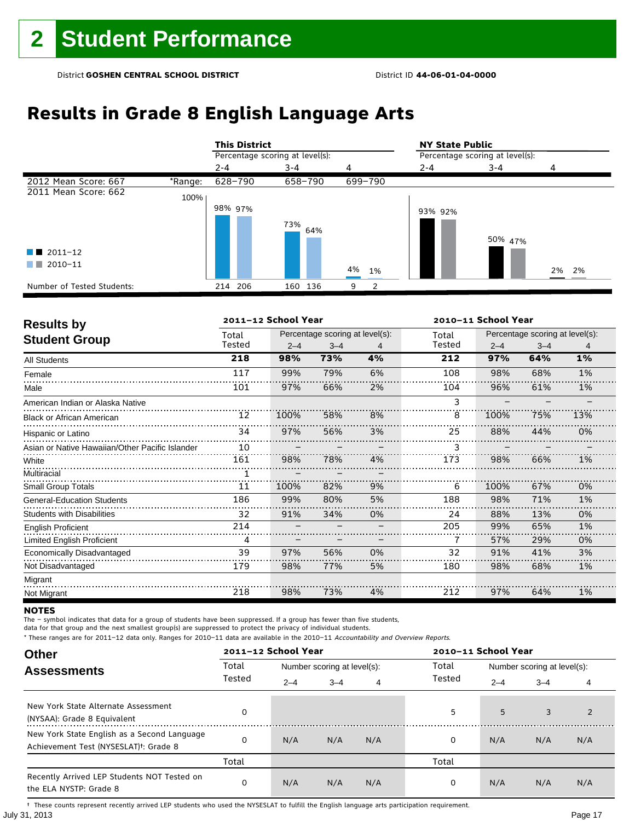# **Results in Grade 8 English Language Arts**

|                            |         | <b>This District</b>            |            |                    | <b>NY State Public</b>          |         |       |  |  |
|----------------------------|---------|---------------------------------|------------|--------------------|---------------------------------|---------|-------|--|--|
|                            |         | Percentage scoring at level(s): |            |                    | Percentage scoring at level(s): |         |       |  |  |
|                            |         | $2 - 4$                         | $3 - 4$    |                    | $2 - 4$                         | $3 - 4$ | 4     |  |  |
| 2012 Mean Score: 667       | *Range: | 628-790                         | 658-790    | 699-790            |                                 |         |       |  |  |
| 2011 Mean Score: 662       | 100%    |                                 |            |                    |                                 |         |       |  |  |
|                            |         | 98% 97%                         |            |                    | 93% 92%                         |         |       |  |  |
|                            |         |                                 | 73%<br>64% |                    |                                 |         |       |  |  |
|                            |         |                                 |            |                    |                                 | 50% 47% |       |  |  |
| $\blacksquare$ 2011-12     |         |                                 |            |                    |                                 |         |       |  |  |
| 2010-11<br>a katika        |         |                                 |            | 4%<br>1%           |                                 |         | 2% 2% |  |  |
|                            |         |                                 |            |                    |                                 |         |       |  |  |
| Number of Tested Students: |         | 214 206                         | 136<br>160 | $\mathcal{P}$<br>9 |                                 |         |       |  |  |

| <b>Results by</b>                               |        | 2011-12 School Year |                                 |    | 2010-11 School Year |         |                                 |     |  |
|-------------------------------------------------|--------|---------------------|---------------------------------|----|---------------------|---------|---------------------------------|-----|--|
|                                                 | Total  |                     | Percentage scoring at level(s): |    | Total               |         | Percentage scoring at level(s): |     |  |
| <b>Student Group</b>                            | Tested | $2 - 4$             | $3 - 4$                         | 4  | Tested              | $2 - 4$ | $3 - 4$                         | 4   |  |
| <b>All Students</b>                             | 218    | 98%                 | 73%                             | 4% | 212                 | 97%     | 64%                             | 1%  |  |
| Female                                          | 117    | 99%                 | 79%                             | 6% | 108                 | 98%     | 68%                             | 1%  |  |
| Male                                            | 101    | 97%                 | 66%                             | 2% | 104                 | 96%     | 61%                             | 1%  |  |
| American Indian or Alaska Native                |        |                     |                                 |    | 3                   |         |                                 |     |  |
| <b>Black or African American</b>                | 12     | 100%                | 58%                             | 8% | 8                   | 100%    | 75%                             | 13% |  |
| Hispanic or Latino                              | 34     | 97%                 | 56%                             | 3% | 25                  | 88%     | 44%                             | 0%  |  |
| Asian or Native Hawaiian/Other Pacific Islander | 10     |                     |                                 |    | 3                   |         |                                 |     |  |
| White                                           | 161    | 98%                 | 78%                             | 4% | 173                 | 98%     | 66%                             | 1%  |  |
| Multiracial                                     |        |                     |                                 |    |                     |         |                                 |     |  |
| <b>Small Group Totals</b>                       | 11     | 100%                | 82%                             | 9% | 6                   | 100%    | 67%                             | 0%  |  |
| <b>General-Education Students</b>               | 186    | 99%                 | 80%                             | 5% | 188                 | 98%     | 71%                             | 1%  |  |
| <b>Students with Disabilities</b>               | 32     | 91%                 | 34%                             | 0% | 24                  | 88%     | 13%                             | 0%  |  |
| <b>English Proficient</b>                       | 214    |                     |                                 |    | 205                 | 99%     | 65%                             | 1%  |  |
| <b>Limited English Proficient</b>               | 4      |                     |                                 |    |                     | 57%     | 29%                             | 0%  |  |
| Economically Disadvantaged                      | 39     | 97%                 | 56%                             | 0% | 32                  | 91%     | 41%                             | 3%  |  |
| Not Disadvantaged                               | 179    | 98%                 | 77%                             | 5% | 180                 | 98%     | 68%                             | 1%  |  |
| Migrant                                         |        |                     |                                 |    |                     |         |                                 |     |  |
| Not Migrant                                     | 218    | 98%                 | 73%                             | 4% | 212                 | 97%     | 64%                             | 1%  |  |

### **NOTES**

The – symbol indicates that data for a group of students have been suppressed. If a group has fewer than five students,

data for that group and the next smallest group(s) are suppressed to protect the privacy of individual students.

\* These ranges are for 2011–12 data only. Ranges for 2010–11 data are available in the 2010–11 Accountability and Overview Reports.

| <b>Other</b>                                                                                      |                              | 2011-12 School Year |                             |         | 2010-11 School Year |     |                             |     |
|---------------------------------------------------------------------------------------------------|------------------------------|---------------------|-----------------------------|---------|---------------------|-----|-----------------------------|-----|
| <b>Assessments</b>                                                                                | Total                        |                     | Number scoring at level(s): |         |                     |     | Number scoring at level(s): |     |
|                                                                                                   | Tested<br>$2 - 4$<br>$3 - 4$ | 4                   | Tested                      | $2 - 4$ | $3 - 4$             | 4   |                             |     |
| New York State Alternate Assessment<br>(NYSAA): Grade 8 Equivalent                                |                              |                     |                             |         | 5                   | 5   | 3                           |     |
| New York State English as a Second Language<br>Achievement Test (NYSESLAT) <sup>+</sup> : Grade 8 |                              | N/A                 | N/A                         | N/A     | 0                   | N/A | N/A                         | N/A |
|                                                                                                   | Total                        |                     |                             |         | Total               |     |                             |     |
| Recently Arrived LEP Students NOT Tested on<br>the ELA NYSTP: Grade 8                             | 0                            | N/A                 | N/A                         | N/A     | 0                   | N/A | N/A                         | N/A |

July 31, 2013 Page 17 † These counts represent recently arrived LEP students who used the NYSESLAT to fulfill the English language arts participation requirement.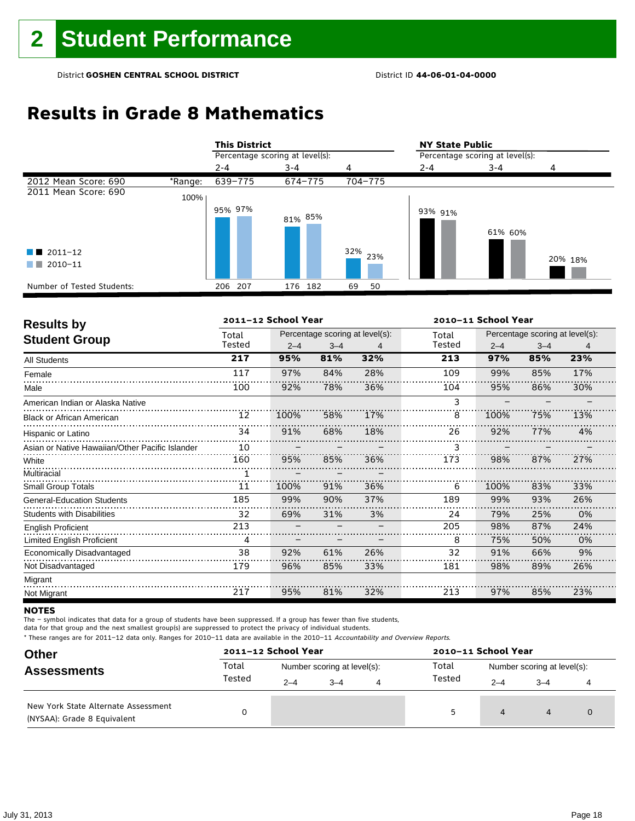# **Results in Grade 8 Mathematics**

|                                                  |         | <b>This District</b> |                                 |            | <b>NY State Public</b> |                                 |         |  |  |  |
|--------------------------------------------------|---------|----------------------|---------------------------------|------------|------------------------|---------------------------------|---------|--|--|--|
|                                                  |         |                      | Percentage scoring at level(s): |            |                        | Percentage scoring at level(s): |         |  |  |  |
|                                                  |         | $2 - 4$              | $3 - 4$                         | 4          | $2 - 4$                | $3 - 4$                         |         |  |  |  |
| 2012 Mean Score: 690                             | *Range: | 639-775              | 674-775                         | 704-775    |                        |                                 |         |  |  |  |
| 2011 Mean Score: 690                             | 100%    |                      |                                 |            |                        |                                 |         |  |  |  |
| $\blacksquare$ 2011-12<br>$\blacksquare$ 2010-11 |         | 95% 97%              | 81% 85%                         | 32%<br>23% | 93% 91%                | 61% 60%                         | 20% 18% |  |  |  |
| Number of Tested Students:                       |         | 206 207              | 176 182                         | 69<br>50   |                        |                                 |         |  |  |  |

| <b>Results by</b>                               |        | 2011-12 School Year |         |                                 | 2010-11 School Year |         |                                 |     |
|-------------------------------------------------|--------|---------------------|---------|---------------------------------|---------------------|---------|---------------------------------|-----|
| <b>Student Group</b>                            | Total  |                     |         | Percentage scoring at level(s): | Total               |         | Percentage scoring at level(s): |     |
|                                                 | Tested | $2 - 4$             | $3 - 4$ | 4                               | Tested              | $2 - 4$ | $3 - 4$                         | 4   |
| <b>All Students</b>                             | 217    | 95%                 | 81%     | 32%                             | 213                 | 97%     | 85%                             | 23% |
| Female                                          | 117    | 97%                 | 84%     | 28%                             | 109                 | 99%     | 85%                             | 17% |
| Male                                            | 100    | 92%                 | 78%     | 36%                             | 104                 | 95%     | 86%                             | 30% |
| American Indian or Alaska Native                |        |                     |         |                                 | 3                   |         |                                 |     |
| <b>Black or African American</b>                | 12     | 100%                | 58%     | 17%                             | 8                   | 100%    | 75%                             | 13% |
| Hispanic or Latino                              | 34     | 91%                 | 68%     | 18%                             | 26                  | 92%     | 77%                             | 4%  |
| Asian or Native Hawaiian/Other Pacific Islander | 10     |                     |         |                                 |                     |         |                                 |     |
| White                                           | 160    | 95%                 | 85%     | 36%                             | 173                 | 98%     | 87%                             | 27% |
| Multiracial                                     |        |                     |         |                                 |                     |         |                                 |     |
| <b>Small Group Totals</b>                       | 11     | 100%                | 91%     | 36%                             | 6                   | 100%    | 83%                             | 33% |
| <b>General-Education Students</b>               | 185    | 99%                 | 90%     | 37%                             | 189                 | 99%     | 93%                             | 26% |
| <b>Students with Disabilities</b>               | 32     | 69%                 | 31%     | 3%                              | 24                  | 79%     | 25%                             | 0%  |
| <b>English Proficient</b>                       | 213    |                     |         |                                 | 205                 | 98%     | 87%                             | 24% |
| <b>Limited English Proficient</b>               | 4      |                     |         |                                 | 8                   | 75%     | 50%                             | 0%  |
| Economically Disadvantaged                      | 38     | 92%                 | 61%     | 26%                             | 32                  | 91%     | 66%                             | 9%  |
| Not Disadvantaged                               | 179    | 96%                 | 85%     | 33%                             | 181                 | 98%     | 89%                             | 26% |
| Migrant                                         |        |                     |         |                                 |                     |         |                                 |     |
| Not Migrant                                     | 217    | 95%                 | 81%     | 32%                             | 213                 | 97%     | 85%                             | 23% |

### **NOTES**

The – symbol indicates that data for a group of students have been suppressed. If a group has fewer than five students,

data for that group and the next smallest group(s) are suppressed to protect the privacy of individual students.

| <b>Other</b><br><b>Assessments</b>                                 |        | 2011-12 School Year         |      |   | 2010-11 School Year |                             |         |  |
|--------------------------------------------------------------------|--------|-----------------------------|------|---|---------------------|-----------------------------|---------|--|
|                                                                    | Total  | Number scoring at level(s): |      |   | Total               | Number scoring at level(s): |         |  |
|                                                                    | Tested | $2 - 4$                     | $-4$ | 4 | Tested              | $2 - 4$                     | $3 - 4$ |  |
| New York State Alternate Assessment<br>(NYSAA): Grade 8 Equivalent |        |                             |      |   | 5                   | 4                           | 4       |  |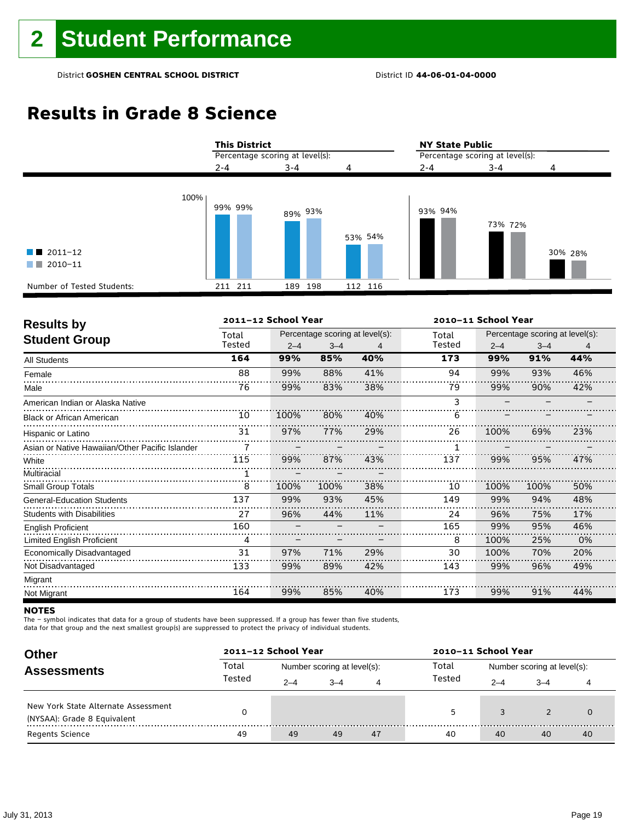# **Results in Grade 8 Science**

|                                                       | <b>This District</b>            |         |         | <b>NY State Public</b><br>Percentage scoring at level(s): |         |         |  |
|-------------------------------------------------------|---------------------------------|---------|---------|-----------------------------------------------------------|---------|---------|--|
|                                                       | Percentage scoring at level(s): |         |         |                                                           |         |         |  |
|                                                       | $2 - 4$                         | $3 - 4$ | 4       | $2 - 4$                                                   | $3 - 4$ | 4       |  |
| 100%<br>$\blacksquare$ 2011-12<br>2010-11<br>a sa tsa | 99% 99%                         | 89% 93% | 53% 54% | 93% 94%                                                   | 73% 72% | 30% 28% |  |
| Number of Tested Students:                            | 211 211                         | 189 198 | 112 116 |                                                           |         |         |  |

| <b>Results by</b>                               |        | 2011-12 School Year |                                 |     | 2010-11 School Year |         |                                 |     |  |
|-------------------------------------------------|--------|---------------------|---------------------------------|-----|---------------------|---------|---------------------------------|-----|--|
|                                                 | Total  |                     | Percentage scoring at level(s): |     | Total               |         | Percentage scoring at level(s): |     |  |
| <b>Student Group</b>                            | Tested | $2 - 4$             | $3 - 4$                         | 4   | Tested              | $2 - 4$ | $3 - 4$                         | 4   |  |
| <b>All Students</b>                             | 164    | 99%                 | 85%                             | 40% | 173                 | 99%     | 91%                             | 44% |  |
| Female                                          | 88     | 99%                 | 88%                             | 41% | 94                  | 99%     | 93%                             | 46% |  |
| Male                                            | 76     | 99%                 | 83%                             | 38% | 79                  | 99%     | 90%                             | 42% |  |
| American Indian or Alaska Native                |        |                     |                                 |     | 3                   |         |                                 |     |  |
| <b>Black or African American</b>                | 10     | 100%                | 80%                             | 40% | 6                   |         |                                 |     |  |
| Hispanic or Latino                              | 31     | 97%                 | 77%                             | 29% | 26                  | 100%    | 69%                             | 23% |  |
| Asian or Native Hawaiian/Other Pacific Islander |        |                     |                                 |     |                     |         |                                 |     |  |
| White                                           | 115    | 99%                 | 87%                             | 43% | 137                 | 99%     | 95%                             | 47% |  |
| Multiracial                                     |        |                     |                                 |     |                     |         |                                 |     |  |
| Small Group Totals                              | 8      | 100%                | 100%                            | 38% | 10                  | 100%    | 100%                            | 50% |  |
| <b>General-Education Students</b>               | 137    | 99%                 | 93%                             | 45% | 149                 | 99%     | 94%                             | 48% |  |
| <b>Students with Disabilities</b>               | 27     | 96%                 | 44%                             | 11% | 24                  | 96%     | 75%                             | 17% |  |
| <b>English Proficient</b>                       | 160    |                     |                                 |     | 165                 | 99%     | 95%                             | 46% |  |
| Limited English Proficient                      | 4      |                     |                                 |     | 8                   | 100%    | 25%                             | 0%  |  |
| Economically Disadvantaged                      | 31     | 97%                 | 71%                             | 29% | 30                  | 100%    | 70%                             | 20% |  |
| Not Disadvantaged                               | 133    | 99%                 | 89%                             | 42% | 143                 | 99%     | 96%                             | 49% |  |
| Migrant                                         |        |                     |                                 |     |                     |         |                                 |     |  |
| Not Migrant                                     | 164    | 99%                 | 85%                             | 40% | 173                 | 99%     | 91%                             | 44% |  |

### **NOTES**

The – symbol indicates that data for a group of students have been suppressed. If a group has fewer than five students,

data for that group and the next smallest group(s) are suppressed to protect the privacy of individual students.

| <b>Other</b>                                                       |        | 2011-12 School Year |                             |    | 2010-11 School Year |                             |         |    |  |
|--------------------------------------------------------------------|--------|---------------------|-----------------------------|----|---------------------|-----------------------------|---------|----|--|
| <b>Assessments</b>                                                 | Total  |                     | Number scoring at level(s): |    | Total               | Number scoring at level(s): |         |    |  |
|                                                                    | Tested | $2 - 4$             | $-4$                        | 4  | Tested              | $2 - 4$                     | $3 - 4$ |    |  |
| New York State Alternate Assessment<br>(NYSAA): Grade 8 Equivalent |        |                     |                             |    | 5                   |                             |         |    |  |
| <b>Regents Science</b>                                             | 49     | 49                  | 49                          | 47 | 40                  | 40                          | 40      | 40 |  |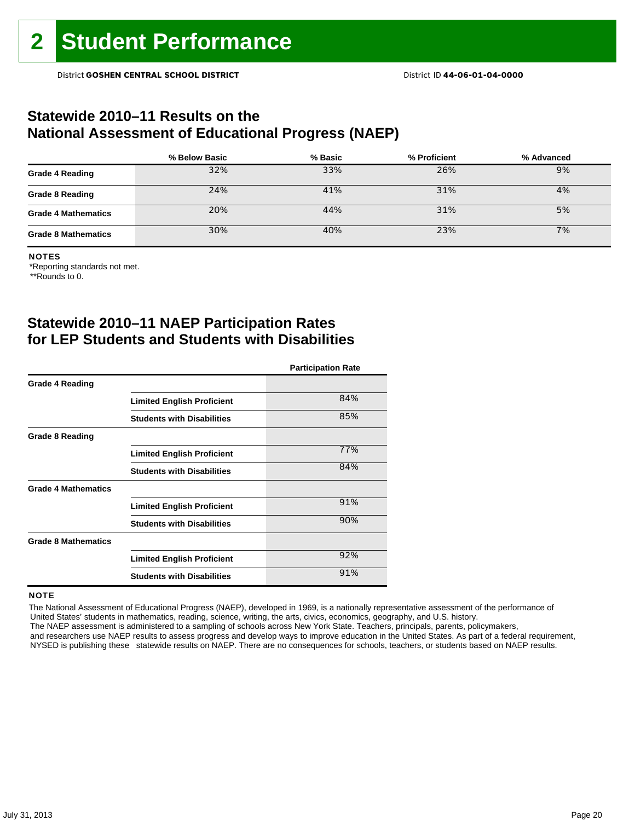### **Statewide 2010–11 Results on the National Assessment of Educational Progress (NAEP)**

|                            | % Below Basic | % Basic | % Proficient | % Advanced |
|----------------------------|---------------|---------|--------------|------------|
| <b>Grade 4 Reading</b>     | 32%           | 33%     | 26%          | 9%         |
| <b>Grade 8 Reading</b>     | 24%           | 41%     | 31%          | 4%         |
| <b>Grade 4 Mathematics</b> | 20%           | 44%     | 31%          | 5%         |
| <b>Grade 8 Mathematics</b> | 30%           | 40%     | 23%          | 7%         |

#### NOTES

\*Reporting standards not met.

\*\*Rounds to 0.

## **Statewide 2010–11 NAEP Participation Rates for LEP Students and Students with Disabilities**

|                            |                                   | <b>Participation Rate</b> |
|----------------------------|-----------------------------------|---------------------------|
| <b>Grade 4 Reading</b>     |                                   |                           |
|                            | <b>Limited English Proficient</b> | 84%                       |
|                            | <b>Students with Disabilities</b> | 85%                       |
| <b>Grade 8 Reading</b>     |                                   |                           |
|                            | <b>Limited English Proficient</b> | 77%                       |
|                            | <b>Students with Disabilities</b> | 84%                       |
| <b>Grade 4 Mathematics</b> |                                   |                           |
|                            | <b>Limited English Proficient</b> | 91%                       |
|                            | <b>Students with Disabilities</b> | 90%                       |
| <b>Grade 8 Mathematics</b> |                                   |                           |
|                            | <b>Limited English Proficient</b> | 92%                       |
|                            | <b>Students with Disabilities</b> | 91%                       |

### **NOTE**

 The National Assessment of Educational Progress (NAEP), developed in 1969, is a nationally representative assessment of the performance of United States' students in mathematics, reading, science, writing, the arts, civics, economics, geography, and U.S. history. The NAEP assessment is administered to a sampling of schools across New York State. Teachers, principals, parents, policymakers,

 and researchers use NAEP results to assess progress and develop ways to improve education in the United States. As part of a federal requirement, NYSED is publishing these statewide results on NAEP. There are no consequences for schools, teachers, or students based on NAEP results.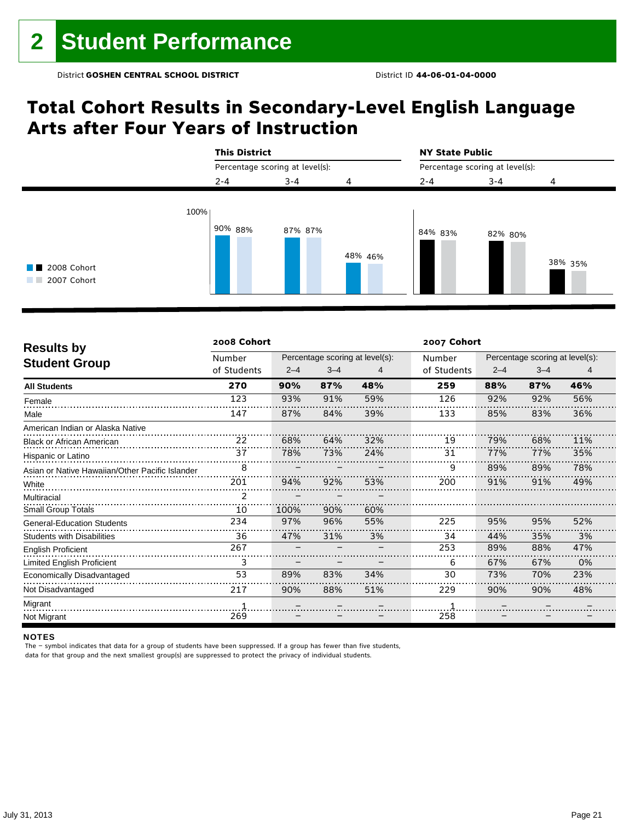## **Total Cohort Results in Secondary-Level English Language Arts after Four Years of Instruction**



| <b>Results by</b>                               | 2008 Cohort |         |         |                                 | 2007 Cohort |                                 |         |     |  |
|-------------------------------------------------|-------------|---------|---------|---------------------------------|-------------|---------------------------------|---------|-----|--|
|                                                 | Number      |         |         | Percentage scoring at level(s): | Number      | Percentage scoring at level(s): |         |     |  |
| <b>Student Group</b>                            | of Students | $2 - 4$ | $3 - 4$ | 4                               | of Students | $2 - 4$                         | $3 - 4$ | 4   |  |
| <b>All Students</b>                             | 270         | 90%     | 87%     | 48%                             | 259         | 88%                             | 87%     | 46% |  |
| Female                                          | 123         | 93%     | 91%     | 59%                             | 126         | 92%                             | 92%     | 56% |  |
| Male                                            | 147         | 87%     | 84%     | 39%                             | 133         | 85%                             | 83%     | 36% |  |
| American Indian or Alaska Native                |             |         |         |                                 |             |                                 |         |     |  |
| <b>Black or African American</b>                | 22          | 68%     | 64%     | 32%                             | 19          | 79%                             | 68%     | 11% |  |
| Hispanic or Latino                              | 37          | 78%     | 73%     | 24%                             | 31          | 77%                             | 77%     | 35% |  |
| Asian or Native Hawaiian/Other Pacific Islander | 8           |         |         |                                 | 9           | 89%                             | 89%     | 78% |  |
| White                                           | 201         | 94%     | 92%     | 53%                             | 200         | 91%                             | 91%     | 49% |  |
| Multiracial                                     |             |         |         |                                 |             |                                 |         |     |  |
| <b>Small Group Totals</b>                       | 10          | 100%    | 90%     | 60%                             |             |                                 |         |     |  |
| <b>General-Education Students</b>               | 234         | 97%     | 96%     | 55%                             | 225         | 95%                             | 95%     | 52% |  |
| <b>Students with Disabilities</b>               | 36          | 47%     | 31%     | 3%                              | 34          | 44%                             | 35%     | 3%  |  |
| <b>English Proficient</b>                       | 267         |         |         |                                 | 253         | 89%                             | 88%     | 47% |  |
| <b>Limited English Proficient</b>               | 3           |         |         |                                 | 6           | 67%                             | 67%     | 0%  |  |
| Economically Disadvantaged                      | 53          | 89%     | 83%     | 34%                             | 30          | 73%                             | 70%     | 23% |  |
| Not Disadvantaged                               | 217         | 90%     | 88%     | 51%                             | 229         | 90%                             | 90%     | 48% |  |
| Migrant                                         |             |         |         |                                 |             |                                 |         |     |  |
| Not Migrant                                     | 269         |         |         |                                 | 258         |                                 |         |     |  |

### NOTES

The – symbol indicates that data for a group of students have been suppressed. If a group has fewer than five students,

data for that group and the next smallest group(s) are suppressed to protect the privacy of individual students.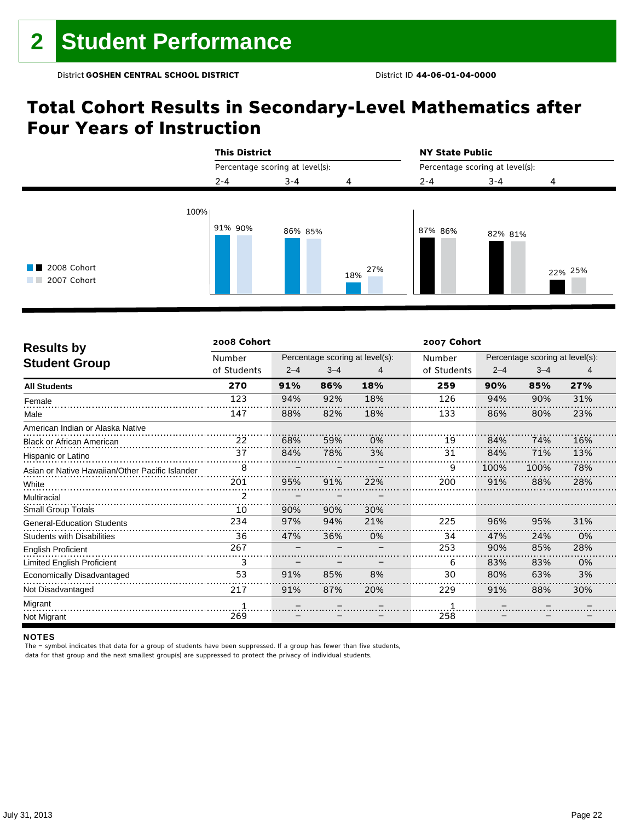## **Total Cohort Results in Secondary-Level Mathematics after Four Years of Instruction**



| <b>Results by</b>                               | 2008 Cohort |         |         |                                 | 2007 Cohort |                                 |         |     |  |
|-------------------------------------------------|-------------|---------|---------|---------------------------------|-------------|---------------------------------|---------|-----|--|
|                                                 | Number      |         |         | Percentage scoring at level(s): | Number      | Percentage scoring at level(s): |         |     |  |
| <b>Student Group</b>                            | of Students | $2 - 4$ | $3 - 4$ | 4                               | of Students | $2 - 4$                         | $3 - 4$ | 4   |  |
| <b>All Students</b>                             | 270         | 91%     | 86%     | 18%                             | 259         | 90%                             | 85%     | 27% |  |
| Female                                          | 123         | 94%     | 92%     | 18%                             | 126         | 94%                             | 90%     | 31% |  |
| Male                                            | 147         | 88%     | 82%     | 18%                             | 133         | 86%                             | 80%     | 23% |  |
| American Indian or Alaska Native                |             |         |         |                                 |             |                                 |         |     |  |
| <b>Black or African American</b>                | 22          | 68%     | 59%     | 0%                              | 19          | 84%                             | 74%     | 16% |  |
| Hispanic or Latino                              | 37          | 84%     | 78%     | 3%                              | 31          | 84%                             | 71%     | 13% |  |
| Asian or Native Hawaiian/Other Pacific Islander | 8           |         |         |                                 | 9           | 100%                            | 100%    | 78% |  |
| White                                           | 201         | 95%     | 91%     | 22%                             | 200         | 91%                             | 88%     | 28% |  |
| Multiracial                                     | 2           |         |         |                                 |             |                                 |         |     |  |
| <b>Small Group Totals</b>                       | 10          | 90%     | 90%     | 30%                             |             |                                 |         |     |  |
| <b>General-Education Students</b>               | 234         | 97%     | 94%     | 21%                             | 225         | 96%                             | 95%     | 31% |  |
| <b>Students with Disabilities</b>               | 36          | 47%     | 36%     | 0%                              | 34          | 47%                             | 24%     | 0%  |  |
| <b>English Proficient</b>                       | 267         |         |         |                                 | 253         | 90%                             | 85%     | 28% |  |
| Limited English Proficient                      | 3           |         |         |                                 | 6           | 83%                             | 83%     | 0%  |  |
| Economically Disadvantaged                      | 53          | 91%     | 85%     | 8%                              | 30          | 80%                             | 63%     | 3%  |  |
| Not Disadvantaged                               | 217         | 91%     | 87%     | 20%                             | 229         | 91%                             | 88%     | 30% |  |
| Migrant                                         |             |         |         |                                 |             |                                 |         |     |  |
| Not Migrant                                     | 269         |         |         |                                 | 258         |                                 |         |     |  |

#### NOTES

The – symbol indicates that data for a group of students have been suppressed. If a group has fewer than five students,

data for that group and the next smallest group(s) are suppressed to protect the privacy of individual students.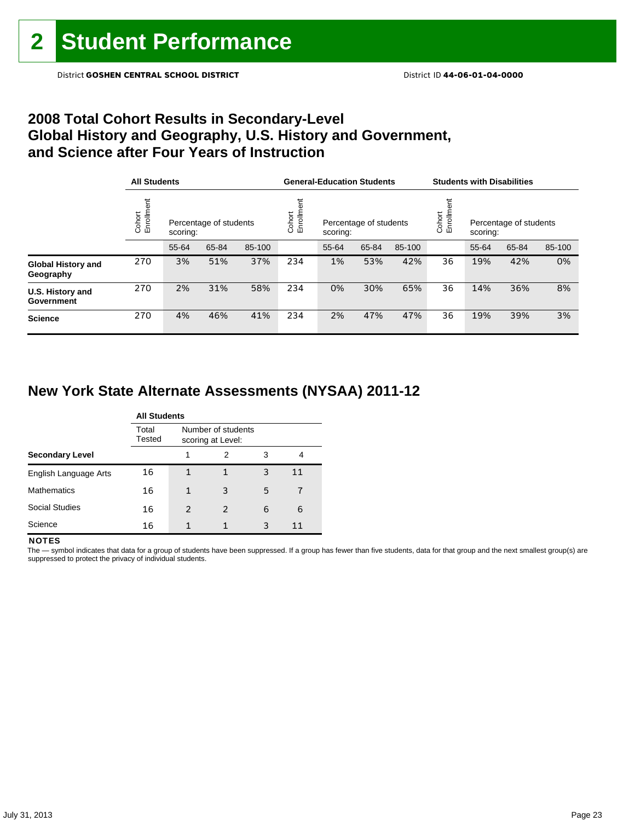## **2008 Total Cohort Results in Secondary-Level Global History and Geography, U.S. History and Government, and Science after Four Years of Instruction**

|                                        | <b>All Students</b>  |          |                        |        |                    | <b>General-Education Students</b> |                        |        | <b>Students with Disabilities</b> |                                    |       |        |
|----------------------------------------|----------------------|----------|------------------------|--------|--------------------|-----------------------------------|------------------------|--------|-----------------------------------|------------------------------------|-------|--------|
|                                        | Cohort<br>Enrollment | scoring: | Percentage of students |        | Enrollme<br>Cohort | scoring:                          | Percentage of students |        | Cohort<br>Enrollm                 | Percentage of students<br>scoring: |       |        |
|                                        |                      | 55-64    | 65-84                  | 85-100 |                    | 55-64                             | 65-84                  | 85-100 |                                   | 55-64                              | 65-84 | 85-100 |
| <b>Global History and</b><br>Geography | 270                  | 3%       | 51%                    | 37%    | 234                | 1%                                | 53%                    | 42%    | 36                                | 19%                                | 42%   | 0%     |
| U.S. History and<br>Government         | 270                  | 2%       | 31%                    | 58%    | 234                | 0%                                | 30%                    | 65%    | 36                                | 14%                                | 36%   | 8%     |
| <b>Science</b>                         | 270                  | 4%       | 46%                    | 41%    | 234                | 2%                                | 47%                    | 47%    | 36                                | 19%                                | 39%   | 3%     |

## **New York State Alternate Assessments (NYSAA) 2011-12**

|                        | <b>All Students</b> |                                         |                |   |    |  |  |  |  |  |
|------------------------|---------------------|-----------------------------------------|----------------|---|----|--|--|--|--|--|
|                        | Total<br>Tested     | Number of students<br>scoring at Level: |                |   |    |  |  |  |  |  |
| <b>Secondary Level</b> |                     |                                         | 2              | 3 | 4  |  |  |  |  |  |
| English Language Arts  | 16                  |                                         |                | 3 | 11 |  |  |  |  |  |
| <b>Mathematics</b>     | 16                  |                                         | 3              | 5 | 7  |  |  |  |  |  |
| <b>Social Studies</b>  | 16                  | $\mathcal{P}$                           | $\mathfrak{p}$ | 6 | 6  |  |  |  |  |  |
| Science                | 16                  |                                         |                | 3 |    |  |  |  |  |  |

### **NOTES**

The - symbol indicates that data for a group of students have been suppressed. If a group has fewer than five students, data for that group and the next smallest group(s) are suppressed to protect the privacy of individual students.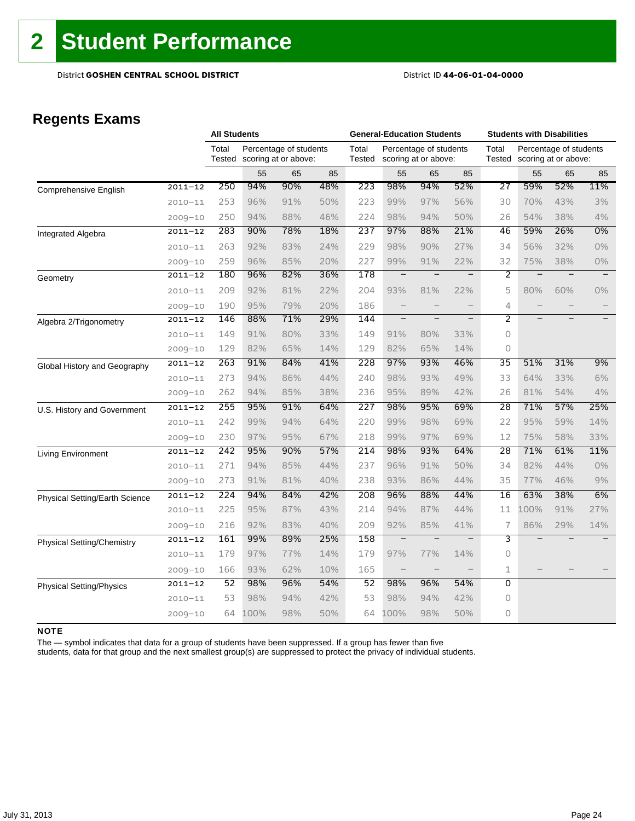## **Regents Exams**

|                                   |             | <b>All Students</b> |      |                                                |     | <b>General-Education Students</b> |                          |                                                |                          | <b>Students with Disabilities</b> |      |                                                |       |
|-----------------------------------|-------------|---------------------|------|------------------------------------------------|-----|-----------------------------------|--------------------------|------------------------------------------------|--------------------------|-----------------------------------|------|------------------------------------------------|-------|
|                                   |             | Total<br>Tested     |      | Percentage of students<br>scoring at or above: |     | Total<br>Tested                   |                          | Percentage of students<br>scoring at or above: |                          | Total<br>Tested                   |      | Percentage of students<br>scoring at or above: |       |
|                                   |             |                     | 55   | 65                                             | 85  |                                   | 55                       | 65                                             | 85                       |                                   | 55   | 65                                             | 85    |
| <b>Comprehensive English</b>      | $2011 - 12$ | 250                 | 94%  | 90%                                            | 48% | 223                               | 98%                      | 94%                                            | 52%                      | 27                                | 59%  | 52%                                            | 11%   |
|                                   | $2010 - 11$ | 253                 | 96%  | 91%                                            | 50% | 223                               | 99%                      | 97%                                            | 56%                      | 30                                | 70%  | 43%                                            | 3%    |
|                                   | $2009 - 10$ | 250                 | 94%  | 88%                                            | 46% | 224                               | 98%                      | 94%                                            | 50%                      | 26                                | 54%  | 38%                                            | 4%    |
| Integrated Algebra                | $2011 - 12$ | 283                 | 90%  | 78%                                            | 18% | 237                               | 97%                      | 88%                                            | 21%                      | 46                                | 59%  | 26%                                            | $0\%$ |
|                                   | $2010 - 11$ | 263                 | 92%  | 83%                                            | 24% | 229                               | 98%                      | 90%                                            | 27%                      | 34                                | 56%  | 32%                                            | $0\%$ |
|                                   | $2009 - 10$ | 259                 | 96%  | 85%                                            | 20% | 227                               | 99%                      | 91%                                            | 22%                      | 32                                | 75%  | 38%                                            | $0\%$ |
| Geometry                          | $2011 - 12$ | 180                 | 96%  | 82%                                            | 36% | 178                               | —                        |                                                | —                        | 2                                 |      |                                                |       |
|                                   | $2010 - 11$ | 209                 | 92%  | 81%                                            | 22% | 204                               | 93%                      | 81%                                            | 22%                      | 5                                 | 80%  | 60%                                            | $0\%$ |
|                                   | $2009 - 10$ | 190                 | 95%  | 79%                                            | 20% | 186                               | $\overline{\phantom{0}}$ |                                                | $\qquad \qquad -$        | 4                                 |      |                                                |       |
| Algebra 2/Trigonometry            | $2011 - 12$ | 146                 | 88%  | 71%                                            | 29% | 144                               | $\overline{\phantom{a}}$ | $\overline{\phantom{0}}$                       | $\overline{\phantom{0}}$ | $\overline{2}$                    |      |                                                |       |
|                                   | $2010 - 11$ | 149                 | 91%  | 80%                                            | 33% | 149                               | 91%                      | 80%                                            | 33%                      | 0                                 |      |                                                |       |
|                                   | $2009 - 10$ | 129                 | 82%  | 65%                                            | 14% | 129                               | 82%                      | 65%                                            | 14%                      | $\circ$                           |      |                                                |       |
| Global History and Geography      | $2011 - 12$ | 263                 | 91%  | 84%                                            | 41% | 228                               | 97%                      | 93%                                            | 46%                      | 35                                | 51%  | 31%                                            | 9%    |
|                                   | $2010 - 11$ | 273                 | 94%  | 86%                                            | 44% | 240                               | 98%                      | 93%                                            | 49%                      | 33                                | 64%  | 33%                                            | 6%    |
|                                   | $2009 - 10$ | 262                 | 94%  | 85%                                            | 38% | 236                               | 95%                      | 89%                                            | 42%                      | 26                                | 81%  | 54%                                            | 4%    |
| U.S. History and Government       | $2011 - 12$ | 255                 | 95%  | 91%                                            | 64% | 227                               | 98%                      | 95%                                            | 69%                      | 28                                | 71%  | 57%                                            | 25%   |
|                                   | $2010 - 11$ | 242                 | 99%  | 94%                                            | 64% | 220                               | 99%                      | 98%                                            | 69%                      | 22                                | 95%  | 59%                                            | 14%   |
|                                   | $2009 - 10$ | 230                 | 97%  | 95%                                            | 67% | 218                               | 99%                      | 97%                                            | 69%                      | 12                                | 75%  | 58%                                            | 33%   |
| Living Environment                | $2011 - 12$ | 242                 | 95%  | 90%                                            | 57% | 214                               | 98%                      | 93%                                            | 64%                      | 28                                | 71%  | 61%                                            | 11%   |
|                                   | $2010 - 11$ | 271                 | 94%  | 85%                                            | 44% | 237                               | 96%                      | 91%                                            | 50%                      | 34                                | 82%  | 44%                                            | $0\%$ |
|                                   | $2009 - 10$ | 273                 | 91%  | 81%                                            | 40% | 238                               | 93%                      | 86%                                            | 44%                      | 35                                | 77%  | 46%                                            | 9%    |
| Physical Setting/Earth Science    | $2011 - 12$ | 224                 | 94%  | 84%                                            | 42% | 208                               | 96%                      | 88%                                            | 44%                      | 16                                | 63%  | 38%                                            | 6%    |
|                                   | $2010 - 11$ | 225                 | 95%  | 87%                                            | 43% | 214                               | 94%                      | 87%                                            | 44%                      | 11                                | 100% | 91%                                            | 27%   |
|                                   | $2009 - 10$ | 216                 | 92%  | 83%                                            | 40% | 209                               | 92%                      | 85%                                            | 41%                      | 7                                 | 86%  | 29%                                            | 14%   |
| <b>Physical Setting/Chemistry</b> | $2011 - 12$ | 161                 | 99%  | 89%                                            | 25% | 158                               | $\overline{\phantom{0}}$ | $\overline{\phantom{0}}$                       | $\overline{\phantom{m}}$ | 3                                 |      |                                                |       |
|                                   | $2010 - 11$ | 179                 | 97%  | 77%                                            | 14% | 179                               | 97%                      | 77%                                            | 14%                      | 0                                 |      |                                                |       |
|                                   | $2009 - 10$ | 166                 | 93%  | 62%                                            | 10% | 165                               | $\qquad \qquad -$        |                                                | $\qquad \qquad -$        | $\mathbf 1$                       |      |                                                |       |
| <b>Physical Setting/Physics</b>   | $2011 - 12$ | $\overline{52}$     | 98%  | 96%                                            | 54% | 52                                | 98%                      | 96%                                            | 54%                      | $\overline{0}$                    |      |                                                |       |
|                                   | $2010 - 11$ | 53                  | 98%  | 94%                                            | 42% | 53                                | 98%                      | 94%                                            | 42%                      | 0                                 |      |                                                |       |
|                                   | $2009 - 10$ | 64                  | 100% | 98%                                            | 50% | 64                                | 100%                     | 98%                                            | 50%                      | 0                                 |      |                                                |       |

### NOTE

The — symbol indicates that data for a group of students have been suppressed. If a group has fewer than five

students, data for that group and the next smallest group(s) are suppressed to protect the privacy of individual students.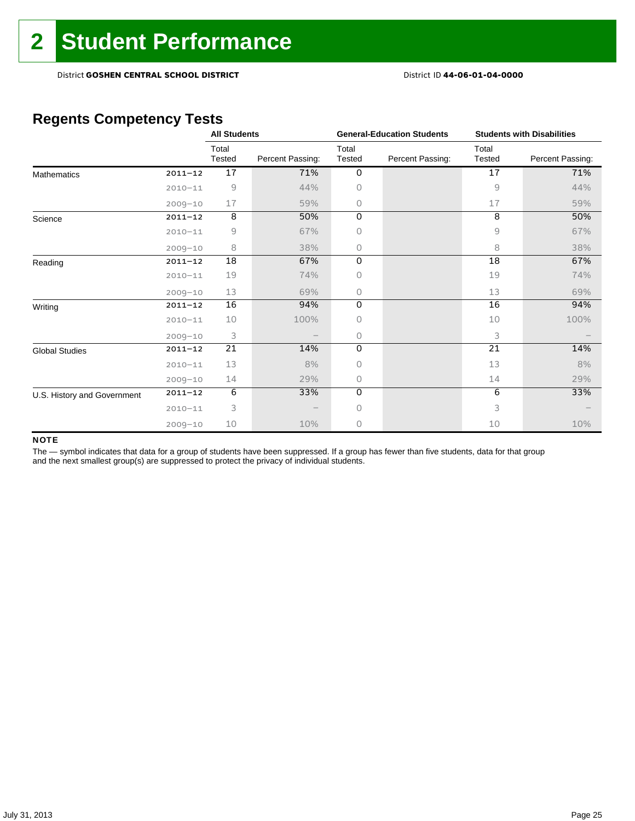## **Regents Competency Tests**

|                             |             | <b>All Students</b>                                       |                  |                 | <b>General-Education Students</b> | <b>Students with Disabilities</b> |                  |  |
|-----------------------------|-------------|-----------------------------------------------------------|------------------|-----------------|-----------------------------------|-----------------------------------|------------------|--|
|                             |             | Total<br>Tested                                           | Percent Passing: | Total<br>Tested | Percent Passing:                  | Total<br>Tested                   | Percent Passing: |  |
| <b>Mathematics</b>          | $2011 - 12$ | 17                                                        | 71%              | $\mathbf 0$     |                                   | 17                                | 71%              |  |
|                             | $2010 - 11$ | $\mathcal{G}% _{M_{1},M_{2}}^{\alpha,\beta}(\varepsilon)$ | 44%              | 0               |                                   | 9                                 | 44%              |  |
|                             | $2009 - 10$ | 17                                                        | 59%              | 0               |                                   | 17                                | 59%              |  |
| Science                     | $2011 - 12$ | 8                                                         | 50%              | 0               |                                   | 8                                 | 50%              |  |
|                             | $2010 - 11$ | 9                                                         | 67%              | 0               |                                   | 9                                 | 67%              |  |
|                             | $2009 - 10$ | 8                                                         | 38%              | 0               |                                   | 8                                 | 38%              |  |
| Reading                     | $2011 - 12$ | 18                                                        | 67%              | 0               |                                   | 18                                | 67%              |  |
|                             | $2010 - 11$ | 19                                                        | 74%              | 0               |                                   | 19                                | 74%              |  |
|                             | $2009 - 10$ | 13                                                        | 69%              | 0               |                                   | 13                                | 69%              |  |
| Writing                     | $2011 - 12$ | 16                                                        | 94%              | 0               |                                   | 16                                | 94%              |  |
|                             | $2010 - 11$ | 10                                                        | 100%             | 0               |                                   | 10                                | 100%             |  |
|                             | $2009 - 10$ | 3                                                         |                  | 0               |                                   | 3                                 |                  |  |
| <b>Global Studies</b>       | $2011 - 12$ | $\overline{21}$                                           | 14%              | 0               |                                   | 21                                | 14%              |  |
|                             | $2010 - 11$ | 13                                                        | 8%               | 0               |                                   | 13                                | 8%               |  |
|                             | $2009 - 10$ | 14                                                        | 29%              | 0               |                                   | 14                                | 29%              |  |
| U.S. History and Government | $2011 - 12$ | 6                                                         | 33%              | $\Omega$        |                                   | 6                                 | 33%              |  |
|                             | $2010 - 11$ | 3                                                         |                  | 0               |                                   | 3                                 |                  |  |
|                             | $2009 - 10$ | 10                                                        | 10%              | 0               |                                   | 10                                | 10%              |  |

### NOTE

The - symbol indicates that data for a group of students have been suppressed. If a group has fewer than five students, data for that group and the next smallest group(s) are suppressed to protect the privacy of individual students.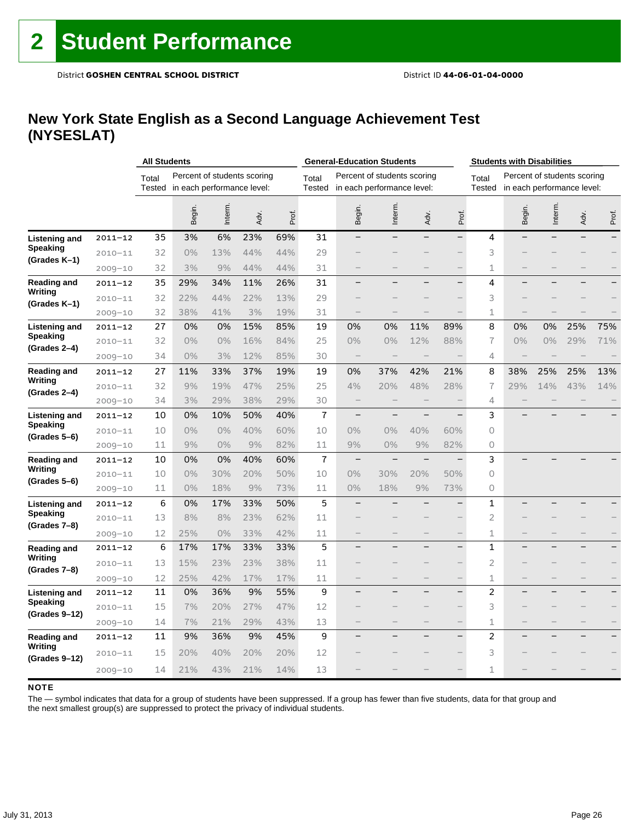### **New York State English as a Second Language Achievement Test (NYSESLAT)**

|                                 |             |        | <b>All Students</b> |                             |      |       | <b>General-Education Students</b> |        |                             |                          |       | <b>Students with Disabilities</b> |                            |                             |      |                          |
|---------------------------------|-------------|--------|---------------------|-----------------------------|------|-------|-----------------------------------|--------|-----------------------------|--------------------------|-------|-----------------------------------|----------------------------|-----------------------------|------|--------------------------|
|                                 |             | Total  |                     | Percent of students scoring |      |       | Total                             |        | Percent of students scoring |                          |       | Total                             |                            | Percent of students scoring |      |                          |
|                                 |             | Tested |                     | in each performance level:  |      |       | <b>Tested</b>                     |        | in each performance level:  |                          |       | <b>Tested</b>                     | in each performance level: |                             |      |                          |
|                                 |             |        | Begin.              | Interm.                     | Adv. | Prof. |                                   | Begin. | Interm.                     | Adv.                     | Prof. |                                   | Begin.                     | Interm.                     | Adv. | Prof.                    |
| <b>Listening and</b>            | $2011 - 12$ | 35     | 3%                  | 6%                          | 23%  | 69%   | 31                                |        |                             |                          |       | 4                                 |                            |                             |      |                          |
| <b>Speaking</b>                 | $2010 - 11$ | 32     | 0%                  | 13%                         | 44%  | 44%   | 29                                |        |                             |                          |       | 3                                 |                            |                             |      |                          |
| (Grades K-1)                    | $2009 - 10$ | 32     | 3%                  | 9%                          | 44%  | 44%   | 31                                |        |                             |                          |       | 1                                 |                            |                             |      |                          |
| Reading and                     | $2011 - 12$ | 35     | 29%                 | 34%                         | 11%  | 26%   | 31                                |        |                             |                          |       | 4                                 |                            |                             |      |                          |
| Writing                         | $2010 - 11$ | 32     | 22%                 | 44%                         | 22%  | 13%   | 29                                |        |                             |                          |       | 3                                 |                            |                             |      |                          |
| (Grades K–1)                    | $2009 - 10$ | 32     | 38%                 | 41%                         | 3%   | 19%   | 31                                |        |                             |                          |       | 1                                 |                            |                             |      |                          |
| Listening and                   | $2011 - 12$ | 27     | 0%                  | 0%                          | 15%  | 85%   | 19                                | 0%     | 0%                          | 11%                      | 89%   | 8                                 | 0%                         | 0%                          | 25%  | 75%                      |
| Speaking<br>(Grades 2-4)        | $2010 - 11$ | 32     | 0%                  | 0%                          | 16%  | 84%   | 25                                | $0\%$  | 0%                          | 12%                      | 88%   | 7                                 | 0%                         | $0\%$                       | 29%  | 71%                      |
|                                 | $2009 - 10$ | 34     | 0%                  | 3%                          | 12%  | 85%   | 30                                |        |                             |                          |       | 4                                 |                            |                             |      |                          |
| <b>Reading and</b>              | 2011-12     | 27     | 11%                 | 33%                         | 37%  | 19%   | 19                                | 0%     | 37%                         | 42%                      | 21%   | 8                                 | 38%                        | 25%                         | 25%  | 13%                      |
| Writing<br>(Grades 2-4)         | $2010 - 11$ | 32     | 9%                  | 19%                         | 47%  | 25%   | 25                                | 4%     | 20%                         | 48%                      | 28%   | 7                                 | 29%                        | 14%                         | 43%  | 14%                      |
|                                 | $2009 - 10$ | 34     | 3%                  | 29%                         | 38%  | 29%   | 30                                |        |                             |                          |       | 4                                 |                            |                             |      |                          |
| Listening and                   | $2011 - 12$ | 10     | 0%                  | 10%                         | 50%  | 40%   | $\overline{1}$                    |        |                             |                          |       | 3                                 |                            |                             |      |                          |
| <b>Speaking</b><br>(Grades 5–6) | $2010 - 11$ | 10     | $0\%$               | 0%                          | 40%  | 60%   | 10                                | $0\%$  | 0%                          | 40%                      | 60%   | 0                                 |                            |                             |      |                          |
|                                 | $2009 - 10$ | 11     | 9%                  | 0%                          | 9%   | 82%   | 11                                | 9%     | 0%                          | 9%                       | 82%   | 0                                 |                            |                             |      |                          |
| <b>Reading and</b>              | $2011 - 12$ | 10     | 0%                  | 0%                          | 40%  | 60%   | $\overline{1}$                    |        |                             | $\overline{\phantom{0}}$ |       | 3                                 |                            |                             |      |                          |
| Writing<br>(Grades 5–6)         | $2010 - 11$ | 10     | 0%                  | 30%                         | 20%  | 50%   | 10                                | $0\%$  | 30%                         | 20%                      | 50%   | $\circ$                           |                            |                             |      |                          |
|                                 | $2009 - 10$ | 11     | 0%                  | 18%                         | 9%   | 73%   | 11                                | $0\%$  | 18%                         | 9%                       | 73%   | 0                                 |                            |                             |      |                          |
| Listening and                   | $2011 - 12$ | 6      | 0%                  | 17%                         | 33%  | 50%   | 5                                 |        |                             |                          |       | $\mathbf{1}$                      |                            |                             |      |                          |
| <b>Speaking</b><br>(Grades 7-8) | $2010 - 11$ | 13     | 8%                  | 8%                          | 23%  | 62%   | 11                                |        |                             |                          |       | $\overline{c}$                    |                            |                             |      |                          |
|                                 | $2009 - 10$ | 12     | 25%                 | 0%                          | 33%  | 42%   | 11                                |        |                             |                          |       | 1                                 |                            |                             |      |                          |
| Reading and                     | $2011 - 12$ | 6      | 17%                 | 17%                         | 33%  | 33%   | 5                                 |        |                             |                          |       | $\mathbf{1}$                      |                            |                             |      |                          |
| Writing<br>(Grades 7–8)         | $2010 - 11$ | 13     | 15%                 | 23%                         | 23%  | 38%   | 11                                |        |                             |                          |       | $\overline{2}$                    |                            |                             |      |                          |
|                                 | $2009 - 10$ | 12     | 25%                 | 42%                         | 17%  | 17%   | 11                                |        |                             |                          |       | 1                                 |                            |                             |      | $\overline{\phantom{0}}$ |
| Listening and                   | $2011 - 12$ | 11     | 0%                  | 36%                         | 9%   | 55%   | 9                                 |        |                             |                          |       | $\overline{c}$                    |                            |                             |      |                          |
| Speaking<br>(Grades 9-12)       | $2010 - 11$ | 15     | 7%                  | 20%                         | 27%  | 47%   | 12                                |        |                             |                          |       | 3                                 |                            |                             |      |                          |
|                                 | $2009 - 10$ | 14     | 7%                  | 21%                         | 29%  | 43%   | 13                                |        |                             |                          |       | 1                                 |                            |                             |      |                          |
| Reading and                     | 2011-12     | 11     | 9%                  | 36%                         | 9%   | 45%   | 9                                 |        |                             |                          |       | $\overline{2}$                    |                            |                             |      |                          |
| Writing<br>(Grades 9-12)        | $2010 - 11$ | 15     | 20%                 | 40%                         | 20%  | 20%   | 12                                |        |                             |                          |       | 3                                 |                            |                             |      |                          |
|                                 | $2009 - 10$ | 14     | 21%                 | 43%                         | 21%  | 14%   | 13                                |        |                             |                          |       | 1                                 |                            |                             |      |                          |

### **NOTE**

The — symbol indicates that data for a group of students have been suppressed. If a group has fewer than five students, data for that group and the next smallest group(s) are suppressed to protect the privacy of individual students.